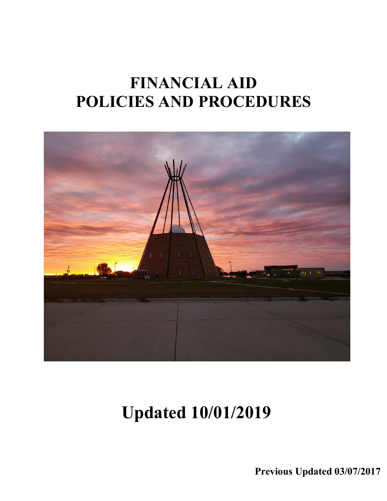## **FINANCIAL AID POLICIES AND PROCEDURES**



# **Updated 10/01/2019**

**Previous Updated 03/07/2017**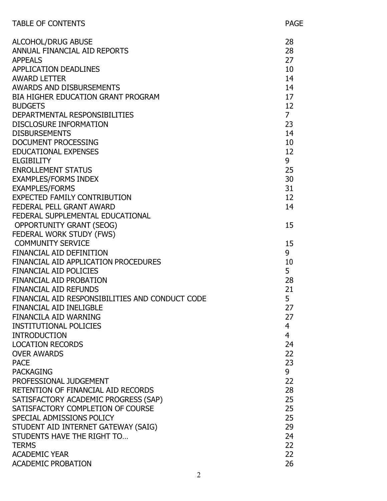| <b>TABLE OF CONTENTS</b>                        | <b>PAGE</b>    |
|-------------------------------------------------|----------------|
| <b>ALCOHOL/DRUG ABUSE</b>                       | 28             |
| ANNUAL FINANCIAL AID REPORTS                    | 28             |
| <b>APPEALS</b>                                  | 27             |
| <b>APPLICATION DEADLINES</b>                    | 10             |
| <b>AWARD LETTER</b>                             | 14             |
| AWARDS AND DISBURSEMENTS                        | 14             |
| <b>BIA HIGHER EDUCATION GRANT PROGRAM</b>       | 17             |
| <b>BUDGETS</b>                                  | 12             |
| DEPARTMENTAL RESPONSIBILITIES                   | 7 <sup>1</sup> |
| <b>DISCLOSURE INFORMATION</b>                   | 23             |
| <b>DISBURSEMENTS</b>                            | 14             |
| <b>DOCUMENT PROCESSING</b>                      | 10             |
| <b>EDUCATIONAL EXPENSES</b>                     | 12             |
| <b>ELGIBILITY</b>                               | 9              |
| <b>ENROLLEMENT STATUS</b>                       | 25             |
| <b>EXAMPLES/FORMS INDEX</b>                     | 30             |
| <b>EXAMPLES/FORMS</b>                           | 31             |
| <b>EXPECTED FAMILY CONTRIBUTION</b>             | 12             |
| FEDERAL PELL GRANT AWARD                        | 14             |
| FEDERAL SUPPLEMENTAL EDUCATIONAL                |                |
| <b>OPPORTUNITY GRANT (SEOG)</b>                 | 15             |
| FEDERAL WORK STUDY (FWS)                        |                |
| <b>COMMUNITY SERVICE</b>                        | 15             |
| FINANCIAL AID DEFINITION                        | 9              |
| FINANCIAL AID APPLICATION PROCEDURES            | 10             |
| <b>FINANCIAL AID POLICIES</b>                   | 5              |
| <b>FINANCIAL AID PROBATION</b>                  | 28             |
| <b>FINANCIAL AID REFUNDS</b>                    | 21             |
| FINANCIAL AID RESPONSIBILITIES AND CONDUCT CODE | 5              |
| <b>FINANCIAL AID INELIGBLE</b>                  | 27             |
| <b>FINANCILA AID WARNING</b>                    | 27             |
| <b>INSTITUTIONAL POLICIES</b>                   | 4              |
| <b>INTRODUCTION</b>                             | $\overline{4}$ |
| <b>LOCATION RECORDS</b>                         | 24             |
| <b>OVER AWARDS</b>                              | 22             |
| <b>PACE</b>                                     | 23             |
| <b>PACKAGING</b>                                | 9              |
| PROFESSIONAL JUDGEMENT                          | 22             |
| RETENTION OF FINANCIAL AID RECORDS              | 28             |
| SATISFACTORY ACADEMIC PROGRESS (SAP)            | 25             |
| SATISFACTORY COMPLETION OF COURSE               | 25             |
| SPECIAL ADMISSIONS POLICY                       | 25             |
| STUDENT AID INTERNET GATEWAY (SAIG)             | 29             |
| STUDENTS HAVE THE RIGHT TO                      | 24             |
| <b>TERMS</b><br><b>ACADEMIC YEAR</b>            | 22<br>22       |
|                                                 |                |
| <b>ACADEMIC PROBATION</b>                       | 26             |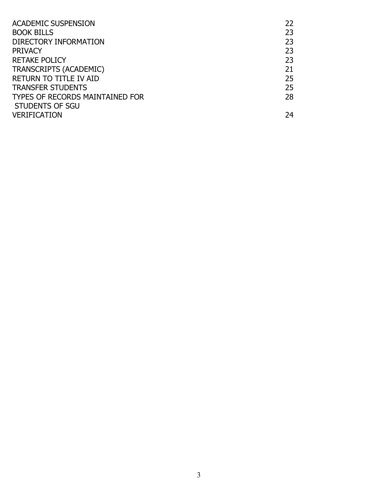| <b>ACADEMIC SUSPENSION</b>             | 22 |
|----------------------------------------|----|
| <b>BOOK BILLS</b>                      | 23 |
| DIRECTORY INFORMATION                  | 23 |
| <b>PRIVACY</b>                         | 23 |
| <b>RETAKE POLICY</b>                   | 23 |
| <b>TRANSCRIPTS (ACADEMIC)</b>          | 21 |
| <b>RETURN TO TITLE IV AID</b>          | 25 |
| <b>TRANSFER STUDENTS</b>               | 25 |
| <b>TYPES OF RECORDS MAINTAINED FOR</b> | 28 |
| STUDENTS OF SGU                        |    |
| <b>VERIFICATION</b>                    | 24 |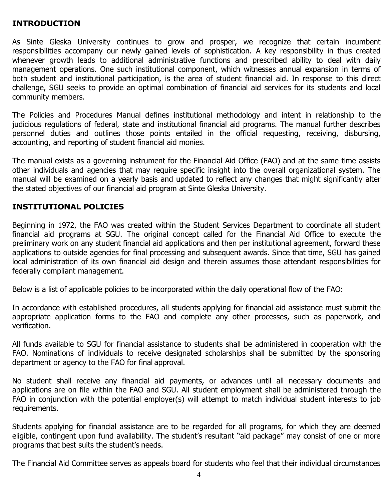#### **INTRODUCTION**

As Sinte Gleska University continues to grow and prosper, we recognize that certain incumbent responsibilities accompany our newly gained levels of sophistication. A key responsibility in thus created whenever growth leads to additional administrative functions and prescribed ability to deal with daily management operations. One such institutional component, which witnesses annual expansion in terms of both student and institutional participation, is the area of student financial aid. In response to this direct challenge, SGU seeks to provide an optimal combination of financial aid services for its students and local community members.

The Policies and Procedures Manual defines institutional methodology and intent in relationship to the judicious regulations of federal, state and institutional financial aid programs. The manual further describes personnel duties and outlines those points entailed in the official requesting, receiving, disbursing, accounting, and reporting of student financial aid monies.

The manual exists as a governing instrument for the Financial Aid Office (FAO) and at the same time assists other individuals and agencies that may require specific insight into the overall organizational system. The manual will be examined on a yearly basis and updated to reflect any changes that might significantly alter the stated objectives of our financial aid program at Sinte Gleska University.

#### **INSTITUTIONAL POLICIES**

Beginning in 1972, the FAO was created within the Student Services Department to coordinate all student financial aid programs at SGU. The original concept called for the Financial Aid Office to execute the preliminary work on any student financial aid applications and then per institutional agreement, forward these applications to outside agencies for final processing and subsequent awards. Since that time, SGU has gained local administration of its own financial aid design and therein assumes those attendant responsibilities for federally compliant management.

Below is a list of applicable policies to be incorporated within the daily operational flow of the FAO:

In accordance with established procedures, all students applying for financial aid assistance must submit the appropriate application forms to the FAO and complete any other processes, such as paperwork, and verification.

All funds available to SGU for financial assistance to students shall be administered in cooperation with the FAO. Nominations of individuals to receive designated scholarships shall be submitted by the sponsoring department or agency to the FAO for final approval.

No student shall receive any financial aid payments, or advances until all necessary documents and applications are on file within the FAO and SGU. All student employment shall be administered through the FAO in conjunction with the potential employer(s) will attempt to match individual student interests to job requirements.

Students applying for financial assistance are to be regarded for all programs, for which they are deemed eligible, contingent upon fund availability. The student's resultant "aid package" may consist of one or more programs that best suits the student's needs.

The Financial Aid Committee serves as appeals board for students who feel that their individual circumstances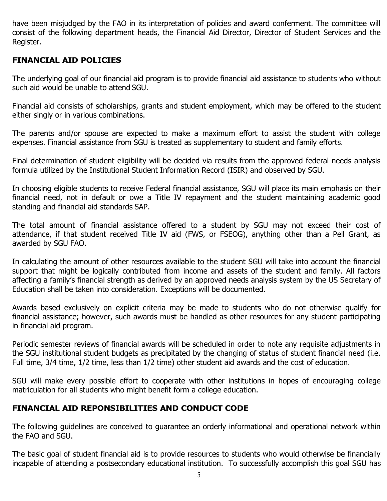have been misjudged by the FAO in its interpretation of policies and award conferment. The committee will consist of the following department heads, the Financial Aid Director, Director of Student Services and the Register.

## **FINANCIAL AID POLICIES**

The underlying goal of our financial aid program is to provide financial aid assistance to students who without such aid would be unable to attend SGU.

Financial aid consists of scholarships, grants and student employment, which may be offered to the student either singly or in various combinations.

The parents and/or spouse are expected to make a maximum effort to assist the student with college expenses. Financial assistance from SGU is treated as supplementary to student and family efforts.

Final determination of student eligibility will be decided via results from the approved federal needs analysis formula utilized by the Institutional Student Information Record (ISIR) and observed by SGU.

In choosing eligible students to receive Federal financial assistance, SGU will place its main emphasis on their financial need, not in default or owe a Title IV repayment and the student maintaining academic good standing and financial aid standards SAP.

The total amount of financial assistance offered to a student by SGU may not exceed their cost of attendance, if that student received Title IV aid (FWS, or FSEOG), anything other than a Pell Grant, as awarded by SGU FAO.

In calculating the amount of other resources available to the student SGU will take into account the financial support that might be logically contributed from income and assets of the student and family. All factors affecting a family's financial strength as derived by an approved needs analysis system by the US Secretary of Education shall be taken into consideration. Exceptions will be documented.

Awards based exclusively on explicit criteria may be made to students who do not otherwise qualify for financial assistance; however, such awards must be handled as other resources for any student participating in financial aid program.

Periodic semester reviews of financial awards will be scheduled in order to note any requisite adjustments in the SGU institutional student budgets as precipitated by the changing of status of student financial need (i.e. Full time, 3/4 time, 1/2 time, less than 1/2 time) other student aid awards and the cost of education.

SGU will make every possible effort to cooperate with other institutions in hopes of encouraging college matriculation for all students who might benefit form a college education.

## **FINANCIAL AID REPONSIBILITIES AND CONDUCT CODE**

The following guidelines are conceived to guarantee an orderly informational and operational network within the FAO and SGU.

The basic goal of student financial aid is to provide resources to students who would otherwise be financially incapable of attending a postsecondary educational institution. To successfully accomplish this goal SGU has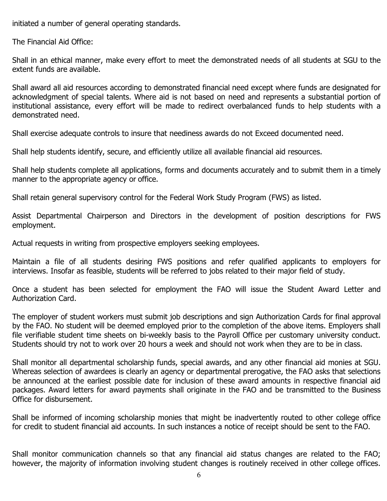initiated a number of general operating standards.

The Financial Aid Office:

Shall in an ethical manner, make every effort to meet the demonstrated needs of all students at SGU to the extent funds are available.

Shall award all aid resources according to demonstrated financial need except where funds are designated for acknowledgment of special talents. Where aid is not based on need and represents a substantial portion of institutional assistance, every effort will be made to redirect overbalanced funds to help students with a demonstrated need.

Shall exercise adequate controls to insure that neediness awards do not Exceed documented need.

Shall help students identify, secure, and efficiently utilize all available financial aid resources.

Shall help students complete all applications, forms and documents accurately and to submit them in a timely manner to the appropriate agency or office.

Shall retain general supervisory control for the Federal Work Study Program (FWS) as listed.

Assist Departmental Chairperson and Directors in the development of position descriptions for FWS employment.

Actual requests in writing from prospective employers seeking employees.

Maintain a file of all students desiring FWS positions and refer qualified applicants to employers for interviews. Insofar as feasible, students will be referred to jobs related to their major field of study.

Once a student has been selected for employment the FAO will issue the Student Award Letter and Authorization Card.

The employer of student workers must submit job descriptions and sign Authorization Cards for final approval by the FAO. No student will be deemed employed prior to the completion of the above items. Employers shall file verifiable student time sheets on bi-weekly basis to the Payroll Office per customary university conduct. Students should try not to work over 20 hours a week and should not work when they are to be in class.

Shall monitor all departmental scholarship funds, special awards, and any other financial aid monies at SGU. Whereas selection of awardees is clearly an agency or departmental prerogative, the FAO asks that selections be announced at the earliest possible date for inclusion of these award amounts in respective financial aid packages. Award letters for award payments shall originate in the FAO and be transmitted to the Business Office for disbursement.

Shall be informed of incoming scholarship monies that might be inadvertently routed to other college office for credit to student financial aid accounts. In such instances a notice of receipt should be sent to the FAO.

Shall monitor communication channels so that any financial aid status changes are related to the FAO; however, the majority of information involving student changes is routinely received in other college offices.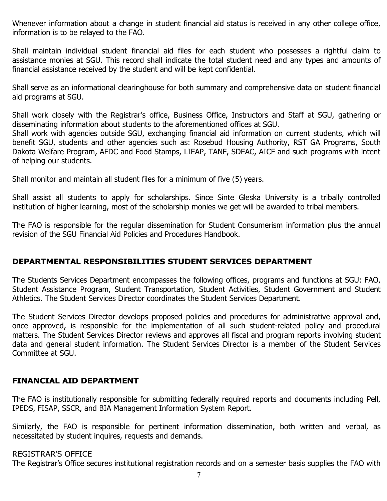Whenever information about a change in student financial aid status is received in any other college office, information is to be relayed to the FAO.

Shall maintain individual student financial aid files for each student who possesses a rightful claim to assistance monies at SGU. This record shall indicate the total student need and any types and amounts of financial assistance received by the student and will be kept confidential.

Shall serve as an informational clearinghouse for both summary and comprehensive data on student financial aid programs at SGU.

Shall work closely with the Registrar's office, Business Office, Instructors and Staff at SGU, gathering or disseminating information about students to the aforementioned offices at SGU.

Shall work with agencies outside SGU, exchanging financial aid information on current students, which will benefit SGU, students and other agencies such as: Rosebud Housing Authority, RST GA Programs, South Dakota Welfare Program, AFDC and Food Stamps, LIEAP, TANF, SDEAC, AICF and such programs with intent of helping our students.

Shall monitor and maintain all student files for a minimum of five (5) years.

Shall assist all students to apply for scholarships. Since Sinte Gleska University is a tribally controlled institution of higher learning, most of the scholarship monies we get will be awarded to tribal members.

The FAO is responsible for the regular dissemination for Student Consumerism information plus the annual revision of the SGU Financial Aid Policies and Procedures Handbook.

## **DEPARTMENTAL RESPONSIBILITIES STUDENT SERVICES DEPARTMENT**

The Students Services Department encompasses the following offices, programs and functions at SGU: FAO, Student Assistance Program, Student Transportation, Student Activities, Student Government and Student Athletics. The Student Services Director coordinates the Student Services Department.

The Student Services Director develops proposed policies and procedures for administrative approval and, once approved, is responsible for the implementation of all such student-related policy and procedural matters. The Student Services Director reviews and approves all fiscal and program reports involving student data and general student information. The Student Services Director is a member of the Student Services Committee at SGU.

## **FINANCIAL AID DEPARTMENT**

The FAO is institutionally responsible for submitting federally required reports and documents including Pell, IPEDS, FISAP, SSCR, and BIA Management Information System Report.

Similarly, the FAO is responsible for pertinent information dissemination, both written and verbal, as necessitated by student inquires, requests and demands.

### REGISTRAR'S OFFICE

The Registrar's Office secures institutional registration records and on a semester basis supplies the FAO with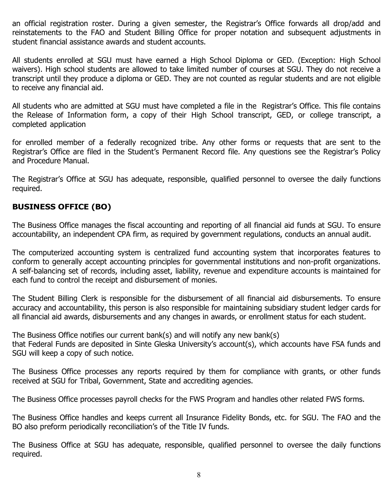an official registration roster. During a given semester, the Registrar's Office forwards all drop/add and reinstatements to the FAO and Student Billing Office for proper notation and subsequent adjustments in student financial assistance awards and student accounts.

All students enrolled at SGU must have earned a High School Diploma or GED. (Exception: High School waivers). High school students are allowed to take limited number of courses at SGU. They do not receive a transcript until they produce a diploma or GED. They are not counted as regular students and are not eligible to receive any financial aid.

All students who are admitted at SGU must have completed a file in the Registrar's Office. This file contains the Release of Information form, a copy of their High School transcript, GED, or college transcript, a completed application

for enrolled member of a federally recognized tribe. Any other forms or requests that are sent to the Registrar's Office are filed in the Student's Permanent Record file. Any questions see the Registrar's Policy and Procedure Manual.

The Registrar's Office at SGU has adequate, responsible, qualified personnel to oversee the daily functions required.

## **BUSINESS OFFICE (BO)**

The Business Office manages the fiscal accounting and reporting of all financial aid funds at SGU. To ensure accountability, an independent CPA firm, as required by government regulations, conducts an annual audit.

The computerized accounting system is centralized fund accounting system that incorporates features to conform to generally accept accounting principles for governmental institutions and non-profit organizations. A self-balancing set of records, including asset, liability, revenue and expenditure accounts is maintained for each fund to control the receipt and disbursement of monies.

The Student Billing Clerk is responsible for the disbursement of all financial aid disbursements. To ensure accuracy and accountability, this person is also responsible for maintaining subsidiary student ledger cards for all financial aid awards, disbursements and any changes in awards, or enrollment status for each student.

The Business Office notifies our current bank(s) and will notify any new bank(s) that Federal Funds are deposited in Sinte Gleska University's account(s), which accounts have FSA funds and SGU will keep a copy of such notice.

The Business Office processes any reports required by them for compliance with grants, or other funds received at SGU for Tribal, Government, State and accrediting agencies.

The Business Office processes payroll checks for the FWS Program and handles other related FWS forms.

The Business Office handles and keeps current all Insurance Fidelity Bonds, etc. for SGU. The FAO and the BO also preform periodically reconciliation's of the Title IV funds.

The Business Office at SGU has adequate, responsible, qualified personnel to oversee the daily functions required.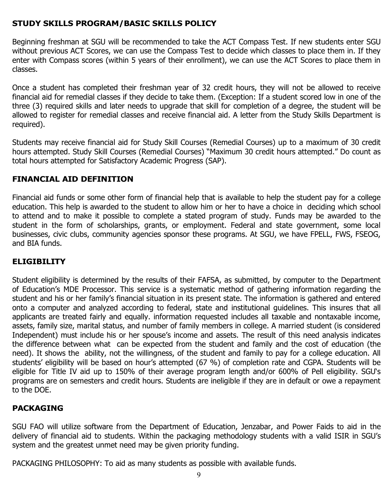## **STUDY SKILLS PROGRAM/BASIC SKILLS POLICY**

Beginning freshman at SGU will be recommended to take the ACT Compass Test. If new students enter SGU without previous ACT Scores, we can use the Compass Test to decide which classes to place them in. If they enter with Compass scores (within 5 years of their enrollment), we can use the ACT Scores to place them in classes.

Once a student has completed their freshman year of 32 credit hours, they will not be allowed to receive financial aid for remedial classes if they decide to take them. (Exception: If a student scored low in one of the three (3) required skills and later needs to upgrade that skill for completion of a degree, the student will be allowed to register for remedial classes and receive financial aid. A letter from the Study Skills Department is required).

Students may receive financial aid for Study Skill Courses (Remedial Courses) up to a maximum of 30 credit hours attempted. Study Skill Courses (Remedial Courses) "Maximum 30 credit hours attempted." Do count as total hours attempted for Satisfactory Academic Progress (SAP).

#### **FINANCIAL AID DEFINITION**

Financial aid funds or some other form of financial help that is available to help the student pay for a college education. This help is awarded to the student to allow him or her to have a choice in deciding which school to attend and to make it possible to complete a stated program of study. Funds may be awarded to the student in the form of scholarships, grants, or employment. Federal and state government, some local businesses, civic clubs, community agencies sponsor these programs. At SGU, we have FPELL, FWS, FSEOG, and BIA funds.

#### **ELIGIBILITY**

Student eligibility is determined by the results of their FAFSA, as submitted, by computer to the Department of Education's MDE Processor. This service is a systematic method of gathering information regarding the student and his or her family's financial situation in its present state. The information is gathered and entered onto a computer and analyzed according to federal, state and institutional guidelines. This insures that all applicants are treated fairly and equally. information requested includes all taxable and nontaxable income, assets, family size, marital status, and number of family members in college. A married student (is considered Independent) must include his or her spouse's income and assets. The result of this need analysis indicates the difference between what can be expected from the student and family and the cost of education (the need). It shows the ability, not the willingness, of the student and family to pay for a college education. All students' eligibility will be based on hour's attempted (67 %) of completion rate and CGPA. Students will be eligible for Title IV aid up to 150% of their average program length and/or 600% of Pell eligibility. SGU's programs are on semesters and credit hours. Students are ineligible if they are in default or owe a repayment to the DOE.

#### **PACKAGING**

SGU FAO will utilize software from the Department of Education, Jenzabar, and Power Faids to aid in the delivery of financial aid to students. Within the packaging methodology students with a valid ISIR in SGU's system and the greatest unmet need may be given priority funding.

PACKAGING PHILOSOPHY: To aid as many students as possible with available funds.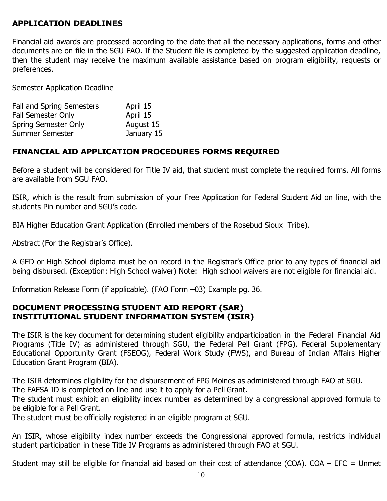## **APPLICATION DEADLINES**

Financial aid awards are processed according to the date that all the necessary applications, forms and other documents are on file in the SGU FAO. If the Student file is completed by the suggested application deadline, then the student may receive the maximum available assistance based on program eligibility, requests or preferences.

Semester Application Deadline

| Fall and Spring Semesters   | April 15   |
|-----------------------------|------------|
| <b>Fall Semester Only</b>   | April 15   |
| <b>Spring Semester Only</b> | August 15  |
| Summer Semester             | January 15 |

#### **FINANCIAL AID APPLICATION PROCEDURES FORMS REQUIRED**

Before a student will be considered for Title IV aid, that student must complete the required forms. All forms are available from SGU FAO.

ISIR, which is the result from submission of your Free Application for Federal Student Aid on line, with the students Pin number and SGU's code.

BIA Higher Education Grant Application (Enrolled members of the Rosebud Sioux Tribe).

Abstract (For the Registrar's Office).

A GED or High School diploma must be on record in the Registrar's Office prior to any types of financial aid being disbursed. (Exception: High School waiver) Note: High school waivers are not eligible for financial aid.

Information Release Form (if applicable). (FAO Form –03) Example pg. 36.

#### **DOCUMENT PROCESSING STUDENT AID REPORT (SAR) INSTITUTIONAL STUDENT INFORMATION SYSTEM (ISIR)**

The ISIR is the key document for determining student eligibility andparticipation in the Federal Financial Aid Programs (Title IV) as administered through SGU, the Federal Pell Grant (FPG), Federal Supplementary Educational Opportunity Grant (FSEOG), Federal Work Study (FWS), and Bureau of Indian Affairs Higher Education Grant Program (BIA).

The ISIR determines eligibility for the disbursement of FPG Moines as administered through FAO at SGU.

The FAFSA ID is completed on line and use it to apply for a Pell Grant.

The student must exhibit an eligibility index number as determined by a congressional approved formula to be eligible for a Pell Grant.

The student must be officially registered in an eligible program at SGU.

An ISIR, whose eligibility index number exceeds the Congressional approved formula, restricts individual student participation in these Title IV Programs as administered through FAO at SGU.

Student may still be eligible for financial aid based on their cost of attendance (COA).  $COA - EFC =$  Unmet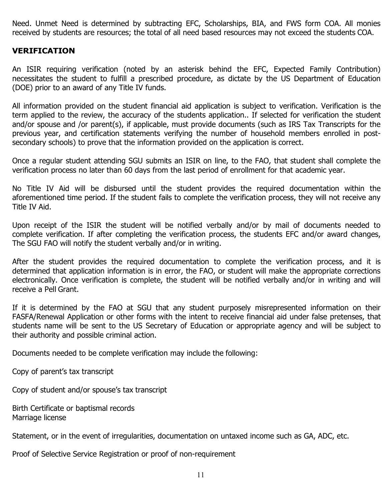Need. Unmet Need is determined by subtracting EFC, Scholarships, BIA, and FWS form COA. All monies received by students are resources; the total of all need based resources may not exceed the students COA.

#### **VERIFICATION**

An ISIR requiring verification (noted by an asterisk behind the EFC, Expected Family Contribution) necessitates the student to fulfill a prescribed procedure, as dictate by the US Department of Education (DOE) prior to an award of any Title IV funds.

All information provided on the student financial aid application is subject to verification. Verification is the term applied to the review, the accuracy of the students application.. If selected for verification the student and/or spouse and /or parent(s), if applicable, must provide documents (such as IRS Tax Transcripts for the previous year, and certification statements verifying the number of household members enrolled in postsecondary schools) to prove that the information provided on the application is correct.

Once a regular student attending SGU submits an ISIR on line, to the FAO, that student shall complete the verification process no later than 60 days from the last period of enrollment for that academic year.

No Title IV Aid will be disbursed until the student provides the required documentation within the aforementioned time period. If the student fails to complete the verification process, they will not receive any Title IV Aid.

Upon receipt of the ISIR the student will be notified verbally and/or by mail of documents needed to complete verification. If after completing the verification process, the students EFC and/or award changes, The SGU FAO will notify the student verbally and/or in writing.

After the student provides the required documentation to complete the verification process, and it is determined that application information is in error, the FAO, or student will make the appropriate corrections electronically. Once verification is complete, the student will be notified verbally and/or in writing and will receive a Pell Grant.

If it is determined by the FAO at SGU that any student purposely misrepresented information on their FASFA/Renewal Application or other forms with the intent to receive financial aid under false pretenses, that students name will be sent to the US Secretary of Education or appropriate agency and will be subject to their authority and possible criminal action.

Documents needed to be complete verification may include the following:

Copy of parent's tax transcript

Copy of student and/or spouse's tax transcript

Birth Certificate or baptismal records Marriage license

Statement, or in the event of irregularities, documentation on untaxed income such as GA, ADC, etc.

Proof of Selective Service Registration or proof of non-requirement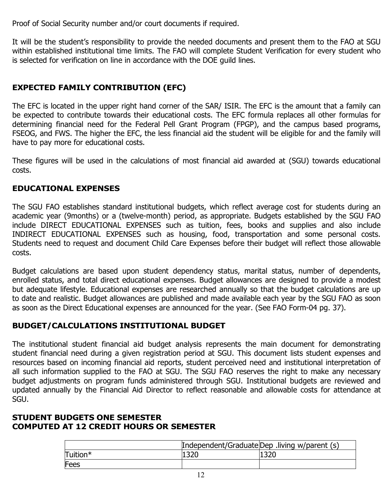Proof of Social Security number and/or court documents if required.

It will be the student's responsibility to provide the needed documents and present them to the FAO at SGU within established institutional time limits. The FAO will complete Student Verification for every student who is selected for verification on line in accordance with the DOE guild lines.

## **EXPECTED FAMILY CONTRIBUTION (EFC)**

The EFC is located in the upper right hand corner of the SAR/ ISIR. The EFC is the amount that a family can be expected to contribute towards their educational costs. The EFC formula replaces all other formulas for determining financial need for the Federal Pell Grant Program (FPGP), and the campus based programs, FSEOG, and FWS. The higher the EFC, the less financial aid the student will be eligible for and the family will have to pay more for educational costs.

These figures will be used in the calculations of most financial aid awarded at (SGU) towards educational costs.

## **EDUCATIONAL EXPENSES**

The SGU FAO establishes standard institutional budgets, which reflect average cost for students during an academic year (9months) or a (twelve-month) period, as appropriate. Budgets established by the SGU FAO include DIRECT EDUCATIONAL EXPENSES such as tuition, fees, books and supplies and also include INDIRECT EDUCATIONAL EXPENSES such as housing, food, transportation and some personal costs. Students need to request and document Child Care Expenses before their budget will reflect those allowable costs.

Budget calculations are based upon student dependency status, marital status, number of dependents, enrolled status, and total direct educational expenses. Budget allowances are designed to provide a modest but adequate lifestyle. Educational expenses are researched annually so that the budget calculations are up to date and realistic. Budget allowances are published and made available each year by the SGU FAO as soon as soon as the Direct Educational expenses are announced for the year. (See FAO Form-04 pg. 37).

## **BUDGET/CALCULATIONS INSTITUTIONAL BUDGET**

The institutional student financial aid budget analysis represents the main document for demonstrating student financial need during a given registration period at SGU. This document lists student expenses and resources based on incoming financial aid reports, student perceived need and institutional interpretation of all such information supplied to the FAO at SGU. The SGU FAO reserves the right to make any necessary budget adjustments on program funds administered through SGU. Institutional budgets are reviewed and updated annually by the Financial Aid Director to reflect reasonable and allowable costs for attendance at SGU.

### **STUDENT BUDGETS ONE SEMESTER COMPUTED AT 12 CREDIT HOURS OR SEMESTER**

|          | Independent/GraduateDep .living w/parent (s) |  |  |
|----------|----------------------------------------------|--|--|
| Tuition* |                                              |  |  |
| Fees     |                                              |  |  |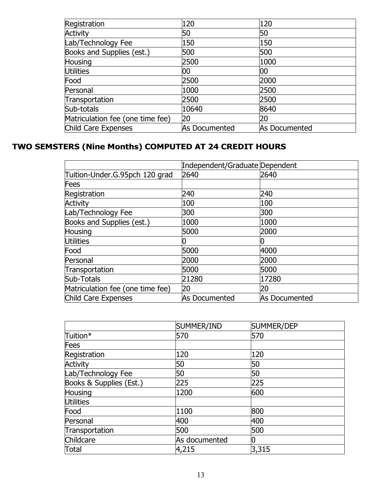| Registration                     | 120           | 120           |
|----------------------------------|---------------|---------------|
| Activity                         | 50            | 50            |
| Lab/Technology Fee               | 150           | 150           |
| Books and Supplies (est.)        | 500           | 500           |
| Housing                          | 2500          | 1000          |
| Utilities                        | 00            | 00            |
| Food                             | 2500          | 2000          |
| Personal                         | 1000          | 2500          |
| Transportation                   | 2500          | 2500          |
| Sub-totals                       | 10640         | 8640          |
| Matriculation fee (one time fee) | 20            | 20            |
| Child Care Expenses              | As Documented | As Documented |

## **TWO SEMSTERS (Nine Months) COMPUTED AT 24 CREDIT HOURS**

|                                  | Independent/Graduate Dependent |               |
|----------------------------------|--------------------------------|---------------|
| Tuition-Under.G.95pch 120 grad   | 2640                           | 2640          |
| Fees                             |                                |               |
| Registration                     | 240                            | 240           |
| <b>Activity</b>                  | 100                            | 100           |
| Lab/Technology Fee               | 300                            | 300           |
| Books and Supplies (est.)        | 1000                           | 1000          |
| Housing                          | 5000                           | 2000          |
| Utilities                        |                                |               |
| Food                             | 5000                           | 4000          |
| Personal                         | 2000                           | 2000          |
| Transportation                   | 5000                           | 5000          |
| Sub-Totals                       | 21280                          | 17280         |
| Matriculation fee (one time fee) | 20                             | 20            |
| Child Care Expenses              | As Documented                  | As Documented |

|                         | SUMMER/IND    | SUMMER/DEP |
|-------------------------|---------------|------------|
| Tuition*                | 570           | 570        |
| Fees                    |               |            |
| Registration            | 120           | 120        |
| <b>Activity</b>         | 50            | 50         |
| Lab/Technology Fee      | 50            | 50         |
| Books & Supplies (Est.) | 225           | 225        |
| Housing                 | 1200          | 600        |
| Utilities               |               |            |
| Food                    | 1100          | 800        |
| Personal                | 400           | 400        |
| Transportation          | 500           | 500        |
| Childcare               | As documented |            |
| Total                   | 4,215         | 3,315      |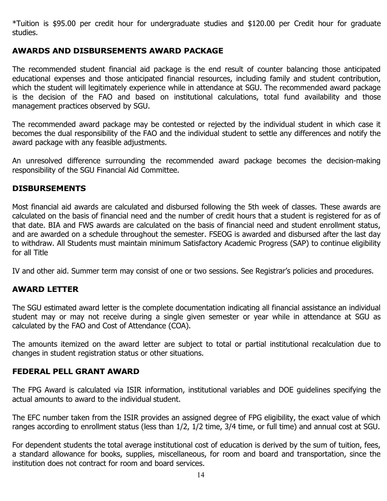\*Tuition is \$95.00 per credit hour for undergraduate studies and \$120.00 per Credit hour for graduate studies.

## **AWARDS AND DISBURSEMENTS AWARD PACKAGE**

The recommended student financial aid package is the end result of counter balancing those anticipated educational expenses and those anticipated financial resources, including family and student contribution, which the student will legitimately experience while in attendance at SGU. The recommended award package is the decision of the FAO and based on institutional calculations, total fund availability and those management practices observed by SGU.

The recommended award package may be contested or rejected by the individual student in which case it becomes the dual responsibility of the FAO and the individual student to settle any differences and notify the award package with any feasible adjustments.

An unresolved difference surrounding the recommended award package becomes the decision-making responsibility of the SGU Financial Aid Committee.

#### **DISBURSEMENTS**

Most financial aid awards are calculated and disbursed following the 5th week of classes. These awards are calculated on the basis of financial need and the number of credit hours that a student is registered for as of that date. BIA and FWS awards are calculated on the basis of financial need and student enrollment status, and are awarded on a schedule throughout the semester. FSEOG is awarded and disbursed after the last day to withdraw. All Students must maintain minimum Satisfactory Academic Progress (SAP) to continue eligibility for all Title

IV and other aid. Summer term may consist of one or two sessions. See Registrar's policies and procedures.

#### **AWARD LETTER**

The SGU estimated award letter is the complete documentation indicating all financial assistance an individual student may or may not receive during a single given semester or year while in attendance at SGU as calculated by the FAO and Cost of Attendance (COA).

The amounts itemized on the award letter are subject to total or partial institutional recalculation due to changes in student registration status or other situations.

#### **FEDERAL PELL GRANT AWARD**

The FPG Award is calculated via ISIR information, institutional variables and DOE guidelines specifying the actual amounts to award to the individual student.

The EFC number taken from the ISIR provides an assigned degree of FPG eligibility, the exact value of which ranges according to enrollment status (less than 1/2, 1/2 time, 3/4 time, or full time) and annual cost at SGU.

For dependent students the total average institutional cost of education is derived by the sum of tuition, fees, a standard allowance for books, supplies, miscellaneous, for room and board and transportation, since the institution does not contract for room and board services.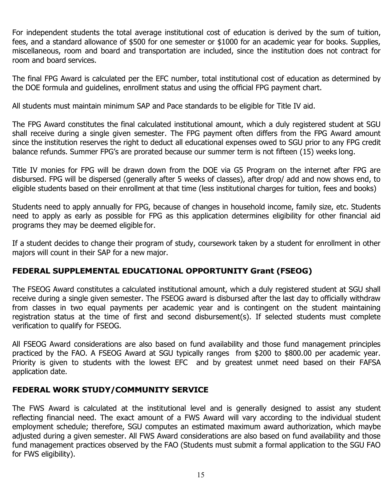For independent students the total average institutional cost of education is derived by the sum of tuition, fees, and a standard allowance of \$500 for one semester or \$1000 for an academic year for books. Supplies, miscellaneous, room and board and transportation are included, since the institution does not contract for room and board services.

The final FPG Award is calculated per the EFC number, total institutional cost of education as determined by the DOE formula and guidelines, enrollment status and using the official FPG payment chart.

All students must maintain minimum SAP and Pace standards to be eligible for Title IV aid.

The FPG Award constitutes the final calculated institutional amount, which a duly registered student at SGU shall receive during a single given semester. The FPG payment often differs from the FPG Award amount since the institution reserves the right to deduct all educational expenses owed to SGU prior to any FPG credit balance refunds. Summer FPG's are prorated because our summer term is not fifteen (15) weeks long.

Title IV monies for FPG will be drawn down from the DOE via G5 Program on the internet after FPG are disbursed. FPG will be dispersed (generally after 5 weeks of classes), after drop/ add and now shows end, to eligible students based on their enrollment at that time (less institutional charges for tuition, fees and books)

Students need to apply annually for FPG, because of changes in household income, family size, etc. Students need to apply as early as possible for FPG as this application determines eligibility for other financial aid programs they may be deemed eligible for.

If a student decides to change their program of study, coursework taken by a student for enrollment in other majors will count in their SAP for a new major.

## **FEDERAL SUPPLEMENTAL EDUCATIONAL OPPORTUNITY Grant (FSEOG)**

The FSEOG Award constitutes a calculated institutional amount, which a duly registered student at SGU shall receive during a single given semester. The FSEOG award is disbursed after the last day to officially withdraw from classes in two equal payments per academic year and is contingent on the student maintaining registration status at the time of first and second disbursement(s). If selected students must complete verification to qualify for FSEOG.

All FSEOG Award considerations are also based on fund availability and those fund management principles practiced by the FAO. A FSEOG Award at SGU typically ranges from \$200 to \$800.00 per academic year. Priority is given to students with the lowest EFC and by greatest unmet need based on their FAFSA application date.

#### **FEDERAL WORK STUDY/COMMUNITY SERVICE**

The FWS Award is calculated at the institutional level and is generally designed to assist any student reflecting financial need. The exact amount of a FWS Award will vary according to the individual student employment schedule; therefore, SGU computes an estimated maximum award authorization, which maybe adjusted during a given semester. All FWS Award considerations are also based on fund availability and those fund management practices observed by the FAO (Students must submit a formal application to the SGU FAO for FWS eligibility).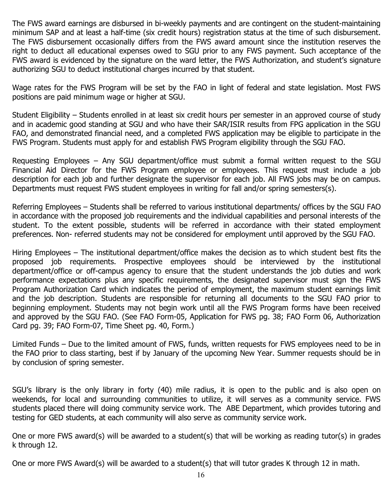The FWS award earnings are disbursed in bi-weekly payments and are contingent on the student-maintaining minimum SAP and at least a half-time (six credit hours) registration status at the time of such disbursement. The FWS disbursement occasionally differs from the FWS award amount since the institution reserves the right to deduct all educational expenses owed to SGU prior to any FWS payment. Such acceptance of the FWS award is evidenced by the signature on the ward letter, the FWS Authorization, and student's signature authorizing SGU to deduct institutional charges incurred by that student.

Wage rates for the FWS Program will be set by the FAO in light of federal and state legislation. Most FWS positions are paid minimum wage or higher at SGU.

Student Eligibility – Students enrolled in at least six credit hours per semester in an approved course of study and in academic good standing at SGU and who have their SAR/ISIR results from FPG application in the SGU FAO, and demonstrated financial need, and a completed FWS application may be eligible to participate in the FWS Program. Students must apply for and establish FWS Program eligibility through the SGU FAO.

Requesting Employees – Any SGU department/office must submit a formal written request to the SGU Financial Aid Director for the FWS Program employee or employees. This request must include a job description for each job and further designate the supervisor for each job. All FWS jobs may be on campus. Departments must request FWS student employees in writing for fall and/or spring semesters(s).

Referring Employees – Students shall be referred to various institutional departments/ offices by the SGU FAO in accordance with the proposed job requirements and the individual capabilities and personal interests of the student. To the extent possible, students will be referred in accordance with their stated employment preferences. Non- referred students may not be considered for employment until approved by the SGU FAO.

Hiring Employees – The institutional department/office makes the decision as to which student best fits the proposed job requirements. Prospective employees should be interviewed by the institutional department/office or off-campus agency to ensure that the student understands the job duties and work performance expectations plus any specific requirements, the designated supervisor must sign the FWS Program Authorization Card which indicates the period of employment, the maximum student earnings limit and the job description. Students are responsible for returning all documents to the SGU FAO prior to beginning employment. Students may not begin work until all the FWS Program forms have been received and approved by the SGU FAO. (See FAO Form-05, Application for FWS pg. 38; FAO Form 06, Authorization Card pg. 39; FAO Form-07, Time Sheet pg. 40, Form.)

Limited Funds – Due to the limited amount of FWS, funds, written requests for FWS employees need to be in the FAO prior to class starting, best if by January of the upcoming New Year. Summer requests should be in by conclusion of spring semester.

SGU's library is the only library in forty (40) mile radius, it is open to the public and is also open on weekends, for local and surrounding communities to utilize, it will serves as a community service. FWS students placed there will doing community service work. The ABE Department, which provides tutoring and testing for GED students, at each community will also serve as community service work.

One or more FWS award(s) will be awarded to a student(s) that will be working as reading tutor(s) in grades k through 12.

One or more FWS Award(s) will be awarded to a student(s) that will tutor grades K through 12 in math.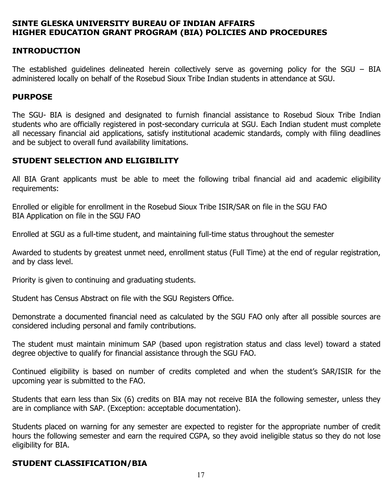### **SINTE GLESKA UNIVERSITY BUREAU OF INDIAN AFFAIRS HIGHER EDUCATION GRANT PROGRAM (BIA) POLICIES AND PROCEDURES**

## **INTRODUCTION**

The established guidelines delineated herein collectively serve as governing policy for the SGU – BIA administered locally on behalf of the Rosebud Sioux Tribe Indian students in attendance at SGU.

#### **PURPOSE**

The SGU- BIA is designed and designated to furnish financial assistance to Rosebud Sioux Tribe Indian students who are officially registered in post-secondary curricula at SGU. Each Indian student must complete all necessary financial aid applications, satisfy institutional academic standards, comply with filing deadlines and be subject to overall fund availability limitations.

#### **STUDENT SELECTION AND ELIGIBILITY**

All BIA Grant applicants must be able to meet the following tribal financial aid and academic eligibility requirements:

Enrolled or eligible for enrollment in the Rosebud Sioux Tribe ISIR/SAR on file in the SGU FAO BIA Application on file in the SGU FAO

Enrolled at SGU as a full-time student, and maintaining full-time status throughout the semester

Awarded to students by greatest unmet need, enrollment status (Full Time) at the end of regular registration, and by class level.

Priority is given to continuing and graduating students.

Student has Census Abstract on file with the SGU Registers Office.

Demonstrate a documented financial need as calculated by the SGU FAO only after all possible sources are considered including personal and family contributions.

The student must maintain minimum SAP (based upon registration status and class level) toward a stated degree objective to qualify for financial assistance through the SGU FAO.

Continued eligibility is based on number of credits completed and when the student's SAR/ISIR for the upcoming year is submitted to the FAO.

Students that earn less than Six (6) credits on BIA may not receive BIA the following semester, unless they are in compliance with SAP. (Exception: acceptable documentation).

Students placed on warning for any semester are expected to register for the appropriate number of credit hours the following semester and earn the required CGPA, so they avoid ineligible status so they do not lose eligibility for BIA.

#### **STUDENT CLASSIFICATION/BIA**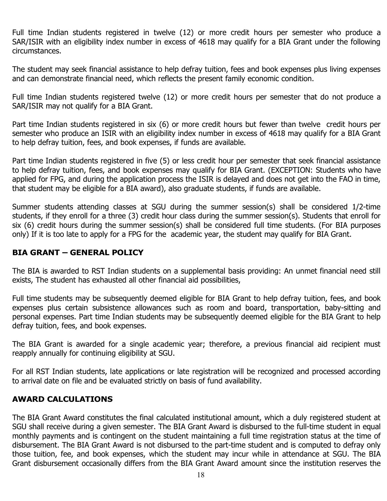Full time Indian students registered in twelve (12) or more credit hours per semester who produce a SAR/ISIR with an eligibility index number in excess of 4618 may qualify for a BIA Grant under the following circumstances.

The student may seek financial assistance to help defray tuition, fees and book expenses plus living expenses and can demonstrate financial need, which reflects the present family economic condition.

Full time Indian students registered twelve (12) or more credit hours per semester that do not produce a SAR/ISIR may not qualify for a BIA Grant.

Part time Indian students registered in six (6) or more credit hours but fewer than twelve credit hours per semester who produce an ISIR with an eligibility index number in excess of 4618 may qualify for a BIA Grant to help defray tuition, fees, and book expenses, if funds are available.

Part time Indian students registered in five (5) or less credit hour per semester that seek financial assistance to help defray tuition, fees, and book expenses may qualify for BIA Grant. (EXCEPTION: Students who have applied for FPG, and during the application process the ISIR is delayed and does not get into the FAO in time, that student may be eligible for a BIA award), also graduate students, if funds are available.

Summer students attending classes at SGU during the summer session(s) shall be considered 1/2-time students, if they enroll for a three (3) credit hour class during the summer session(s). Students that enroll for six (6) credit hours during the summer session(s) shall be considered full time students. (For BIA purposes only) If it is too late to apply for a FPG for the academic year, the student may qualify for BIA Grant.

#### **BIA GRANT – GENERAL POLICY**

The BIA is awarded to RST Indian students on a supplemental basis providing: An unmet financial need still exists, The student has exhausted all other financial aid possibilities,

Full time students may be subsequently deemed eligible for BIA Grant to help defray tuition, fees, and book expenses plus certain subsistence allowances such as room and board, transportation, baby-sitting and personal expenses. Part time Indian students may be subsequently deemed eligible for the BIA Grant to help defray tuition, fees, and book expenses.

The BIA Grant is awarded for a single academic year; therefore, a previous financial aid recipient must reapply annually for continuing eligibility at SGU.

For all RST Indian students, late applications or late registration will be recognized and processed according to arrival date on file and be evaluated strictly on basis of fund availability.

#### **AWARD CALCULATIONS**

The BIA Grant Award constitutes the final calculated institutional amount, which a duly registered student at SGU shall receive during a given semester. The BIA Grant Award is disbursed to the full-time student in equal monthly payments and is contingent on the student maintaining a full time registration status at the time of disbursement. The BIA Grant Award is not disbursed to the part-time student and is computed to defray only those tuition, fee, and book expenses, which the student may incur while in attendance at SGU. The BIA Grant disbursement occasionally differs from the BIA Grant Award amount since the institution reserves the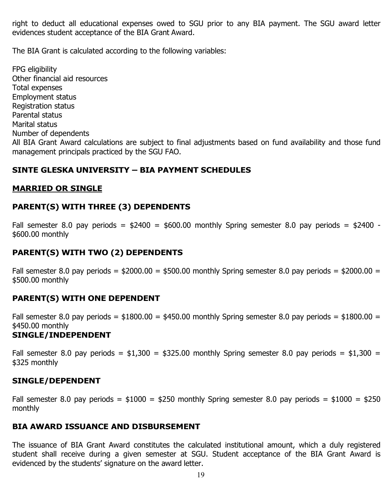right to deduct all educational expenses owed to SGU prior to any BIA payment. The SGU award letter evidences student acceptance of the BIA Grant Award.

The BIA Grant is calculated according to the following variables:

FPG eligibility Other financial aid resources Total expenses Employment status Registration status Parental status Marital status Number of dependents All BIA Grant Award calculations are subject to final adjustments based on fund availability and those fund management principals practiced by the SGU FAO.

## **SINTE GLESKA UNIVERSITY – BIA PAYMENT SCHEDULES**

## **MARRIED OR SINGLE**

## **PARENT(S) WITH THREE (3) DEPENDENTS**

Fall semester 8.0 pay periods =  $$2400 = $600.00$  monthly Spring semester 8.0 pay periods =  $$2400$  -\$600.00 monthly

## **PARENT(S) WITH TWO (2) DEPENDENTS**

Fall semester 8.0 pay periods =  $$2000.00 = $500.00$  monthly Spring semester 8.0 pay periods =  $$2000.00 =$ \$500.00 monthly

#### **PARENT(S) WITH ONE DEPENDENT**

Fall semester 8.0 pay periods =  $$1800.00 = $450.00$  monthly Spring semester 8.0 pay periods =  $$1800.00 =$ \$450.00 monthly

## **SINGLE/INDEPENDENT**

Fall semester 8.0 pay periods =  $$1,300 = $325.00$  monthly Spring semester 8.0 pay periods =  $$1,300 =$ \$325 monthly

#### **SINGLE/DEPENDENT**

Fall semester 8.0 pay periods =  $$1000 = $250$  monthly Spring semester 8.0 pay periods =  $$1000 = $250$ monthly

#### **BIA AWARD ISSUANCE AND DISBURSEMENT**

The issuance of BIA Grant Award constitutes the calculated institutional amount, which a duly registered student shall receive during a given semester at SGU. Student acceptance of the BIA Grant Award is evidenced by the students' signature on the award letter.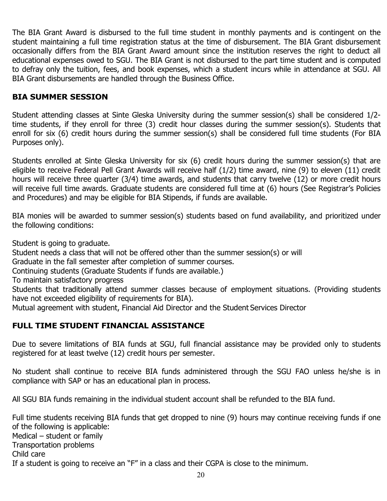The BIA Grant Award is disbursed to the full time student in monthly payments and is contingent on the student maintaining a full time registration status at the time of disbursement. The BIA Grant disbursement occasionally differs from the BIA Grant Award amount since the institution reserves the right to deduct all educational expenses owed to SGU. The BIA Grant is not disbursed to the part time student and is computed to defray only the tuition, fees, and book expenses, which a student incurs while in attendance at SGU. All BIA Grant disbursements are handled through the Business Office.

## **BIA SUMMER SESSION**

Student attending classes at Sinte Gleska University during the summer session(s) shall be considered 1/2 time students, if they enroll for three (3) credit hour classes during the summer session(s). Students that enroll for six (6) credit hours during the summer session(s) shall be considered full time students (For BIA Purposes only).

Students enrolled at Sinte Gleska University for six (6) credit hours during the summer session(s) that are eligible to receive Federal Pell Grant Awards will receive half (1/2) time award, nine (9) to eleven (11) credit hours will receive three quarter (3/4) time awards, and students that carry twelve (12) or more credit hours will receive full time awards. Graduate students are considered full time at (6) hours (See Registrar's Policies and Procedures) and may be eligible for BIA Stipends, if funds are available.

BIA monies will be awarded to summer session(s) students based on fund availability, and prioritized under the following conditions:

Student is going to graduate.

Student needs a class that will not be offered other than the summer session(s) or will

Graduate in the fall semester after completion of summer courses.

Continuing students (Graduate Students if funds are available.)

To maintain satisfactory progress

Students that traditionally attend summer classes because of employment situations. (Providing students have not exceeded eligibility of requirements for BIA).

Mutual agreement with student, Financial Aid Director and the Student Services Director

## **FULL TIME STUDENT FINANCIAL ASSISTANCE**

Due to severe limitations of BIA funds at SGU, full financial assistance may be provided only to students registered for at least twelve (12) credit hours per semester.

No student shall continue to receive BIA funds administered through the SGU FAO unless he/she is in compliance with SAP or has an educational plan in process.

All SGU BIA funds remaining in the individual student account shall be refunded to the BIA fund.

Full time students receiving BIA funds that get dropped to nine (9) hours may continue receiving funds if one of the following is applicable: Medical – student or family Transportation problems Child care If a student is going to receive an "F" in a class and their CGPA is close to the minimum.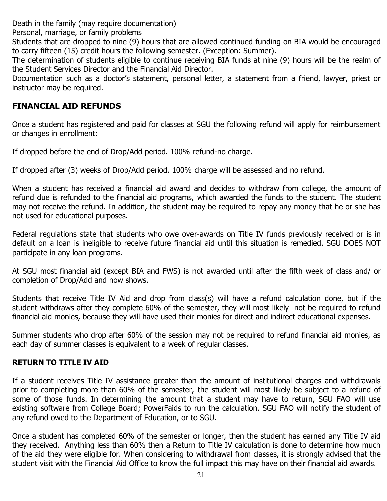Death in the family (may require documentation)

Personal, marriage, or family problems

Students that are dropped to nine (9) hours that are allowed continued funding on BIA would be encouraged to carry fifteen (15) credit hours the following semester. (Exception: Summer).

The determination of students eligible to continue receiving BIA funds at nine (9) hours will be the realm of the Student Services Director and the Financial Aid Director.

Documentation such as a doctor's statement, personal letter, a statement from a friend, lawyer, priest or instructor may be required.

## **FINANCIAL AID REFUNDS**

Once a student has registered and paid for classes at SGU the following refund will apply for reimbursement or changes in enrollment:

If dropped before the end of Drop/Add period. 100% refund-no charge.

If dropped after (3) weeks of Drop/Add period. 100% charge will be assessed and no refund.

When a student has received a financial aid award and decides to withdraw from college, the amount of refund due is refunded to the financial aid programs, which awarded the funds to the student. The student may not receive the refund. In addition, the student may be required to repay any money that he or she has not used for educational purposes.

Federal regulations state that students who owe over-awards on Title IV funds previously received or is in default on a loan is ineligible to receive future financial aid until this situation is remedied. SGU DOES NOT participate in any loan programs.

At SGU most financial aid (except BIA and FWS) is not awarded until after the fifth week of class and/ or completion of Drop/Add and now shows.

Students that receive Title IV Aid and drop from class(s) will have a refund calculation done, but if the student withdraws after they complete 60% of the semester, they will most likely not be required to refund financial aid monies, because they will have used their monies for direct and indirect educational expenses.

Summer students who drop after 60% of the session may not be required to refund financial aid monies, as each day of summer classes is equivalent to a week of regular classes.

## **RETURN TO TITLE IV AID**

If a student receives Title IV assistance greater than the amount of institutional charges and withdrawals prior to completing more than 60% of the semester, the student will most likely be subject to a refund of some of those funds. In determining the amount that a student may have to return, SGU FAO will use existing software from College Board; PowerFaids to run the calculation. SGU FAO will notify the student of any refund owed to the Department of Education, or to SGU.

Once a student has completed 60% of the semester or longer, then the student has earned any Title IV aid they received. Anything less than 60% then a Return to Title IV calculation is done to determine how much of the aid they were eligible for. When considering to withdrawal from classes, it is strongly advised that the student visit with the Financial Aid Office to know the full impact this may have on their financial aid awards.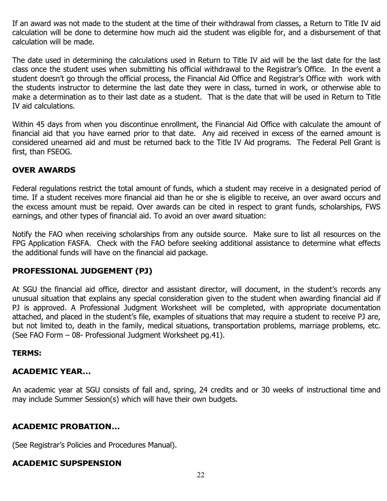If an award was not made to the student at the time of their withdrawal from classes, a Return to Title IV aid calculation will be done to determine how much aid the student was eligible for, and a disbursement of that calculation will be made.

The date used in determining the calculations used in Return to Title IV aid will be the last date for the last class once the student uses when submitting his official withdrawal to the Registrar's Office. In the event a student doesn't go through the official process, the Financial Aid Office and Registrar's Office with work with the students instructor to determine the last date they were in class, turned in work, or otherwise able to make a determination as to their last date as a student. That is the date that will be used in Return to Title IV aid calculations.

Within 45 days from when you discontinue enrollment, the Financial Aid Office with calculate the amount of financial aid that you have earned prior to that date. Any aid received in excess of the earned amount is considered unearned aid and must be returned back to the Title IV Aid programs. The Federal Pell Grant is first, than FSEOG.

## **OVER AWARDS**

Federal regulations restrict the total amount of funds, which a student may receive in a designated period of time. If a student receives more financial aid than he or she is eligible to receive, an over award occurs and the excess amount must be repaid. Over awards can be cited in respect to grant funds, scholarships, FWS earnings, and other types of financial aid. To avoid an over award situation:

Notify the FAO when receiving scholarships from any outside source. Make sure to list all resources on the FPG Application FASFA. Check with the FAO before seeking additional assistance to determine what effects the additional funds will have on the financial aid package.

#### **PROFESSIONAL JUDGEMENT (PJ)**

At SGU the financial aid office, director and assistant director, will document, in the student's records any unusual situation that explains any special consideration given to the student when awarding financial aid if PJ is approved. A Professional Judgment Worksheet will be completed, with appropriate documentation attached, and placed in the student's file, examples of situations that may require a student to receive PJ are, but not limited to, death in the family, medical situations, transportation problems, marriage problems, etc. (See FAO Form – 08- Professional Judgment Worksheet pg.41).

#### **TERMS:**

#### **ACADEMIC YEAR…**

An academic year at SGU consists of fall and, spring, 24 credits and or 30 weeks of instructional time and may include Summer Session(s) which will have their own budgets.

#### **ACADEMIC PROBATION…**

(See Registrar's Policies and Procedures Manual).

## **ACADEMIC SUPSPENSION**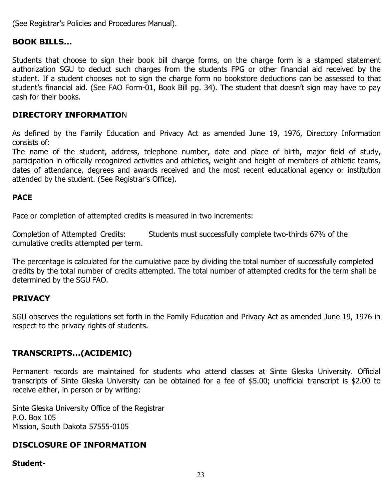(See Registrar's Policies and Procedures Manual).

#### **BOOK BILLS…**

Students that choose to sign their book bill charge forms, on the charge form is a stamped statement authorization SGU to deduct such charges from the students FPG or other financial aid received by the student. If a student chooses not to sign the charge form no bookstore deductions can be assessed to that student's financial aid. (See FAO Form-01, Book Bill pg. 34). The student that doesn't sign may have to pay cash for their books.

#### **DIRECTORY INFORMATIO**N

As defined by the Family Education and Privacy Act as amended June 19, 1976, Directory Information consists of:

The name of the student, address, telephone number, date and place of birth, major field of study, participation in officially recognized activities and athletics, weight and height of members of athletic teams, dates of attendance, degrees and awards received and the most recent educational agency or institution attended by the student. (See Registrar's Office).

#### **PACE**

Pace or completion of attempted credits is measured in two increments:

Completion of Attempted Credits: Students must successfully complete two-thirds 67% of the cumulative credits attempted per term.

The percentage is calculated for the cumulative pace by dividing the total number of successfully completed credits by the total number of credits attempted. The total number of attempted credits for the term shall be determined by the SGU FAO.

#### **PRIVACY**

SGU observes the regulations set forth in the Family Education and Privacy Act as amended June 19, 1976 in respect to the privacy rights of students.

#### **TRANSCRIPTS…(ACIDEMIC)**

Permanent records are maintained for students who attend classes at Sinte Gleska University. Official transcripts of Sinte Gleska University can be obtained for a fee of \$5.00; unofficial transcript is \$2.00 to receive either, in person or by writing:

Sinte Gleska University Office of the Registrar P.O. Box 105 Mission, South Dakota 57555-0105

#### **DISCLOSURE OF INFORMATION**

#### **Student-**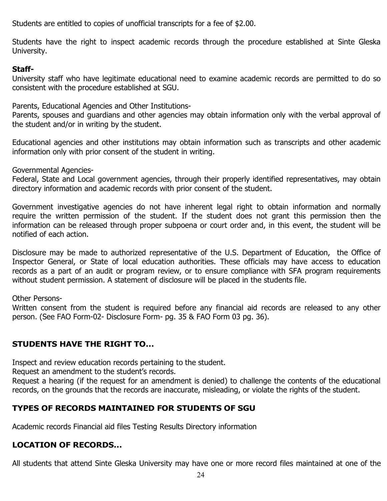Students are entitled to copies of unofficial transcripts for a fee of \$2.00.

Students have the right to inspect academic records through the procedure established at Sinte Gleska University.

#### **Staff-**

University staff who have legitimate educational need to examine academic records are permitted to do so consistent with the procedure established at SGU.

Parents, Educational Agencies and Other Institutions-

Parents, spouses and guardians and other agencies may obtain information only with the verbal approval of the student and/or in writing by the student.

Educational agencies and other institutions may obtain information such as transcripts and other academic information only with prior consent of the student in writing.

Governmental Agencies-

Federal, State and Local government agencies, through their properly identified representatives, may obtain directory information and academic records with prior consent of the student.

Government investigative agencies do not have inherent legal right to obtain information and normally require the written permission of the student. If the student does not grant this permission then the information can be released through proper subpoena or court order and, in this event, the student will be notified of each action.

Disclosure may be made to authorized representative of the U.S. Department of Education, the Office of Inspector General, or State of local education authorities. These officials may have access to education records as a part of an audit or program review, or to ensure compliance with SFA program requirements without student permission. A statement of disclosure will be placed in the students file.

Other Persons-

Written consent from the student is required before any financial aid records are released to any other person. (See FAO Form-02- Disclosure Form- pg. 35 & FAO Form 03 pg. 36).

## **STUDENTS HAVE THE RIGHT TO…**

Inspect and review education records pertaining to the student.

Request an amendment to the student's records.

Request a hearing (if the request for an amendment is denied) to challenge the contents of the educational records, on the grounds that the records are inaccurate, misleading, or violate the rights of the student.

## **TYPES OF RECORDS MAINTAINED FOR STUDENTS OF SGU**

Academic records Financial aid files Testing Results Directory information

## **LOCATION OF RECORDS…**

All students that attend Sinte Gleska University may have one or more record files maintained at one of the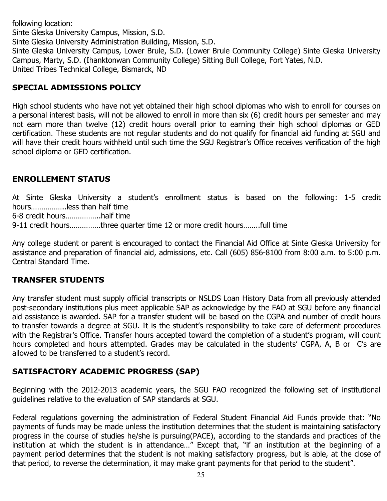following location: Sinte Gleska University Campus, Mission, S.D. Sinte Gleska University Administration Building, Mission, S.D. Sinte Gleska University Campus, Lower Brule, S.D. (Lower Brule Community College) Sinte Gleska University Campus, Marty, S.D. (Ihanktonwan Community College) Sitting Bull College, Fort Yates, N.D. United Tribes Technical College, Bismarck, ND

## **SPECIAL ADMISSIONS POLICY**

High school students who have not yet obtained their high school diplomas who wish to enroll for courses on a personal interest basis, will not be allowed to enroll in more than six (6) credit hours per semester and may not earn more than twelve (12) credit hours overall prior to earning their high school diplomas or GED certification. These students are not regular students and do not qualify for financial aid funding at SGU and will have their credit hours withheld until such time the SGU Registrar's Office receives verification of the high school diploma or GED certification.

## **ENROLLEMENT STATUS**

At Sinte Gleska University a student's enrollment status is based on the following: 1-5 credit hours……………..less than half time

6-8 credit hours……………..half time

9-11 credit hours……………three quarter time 12 or more credit hours……..full time

Any college student or parent is encouraged to contact the Financial Aid Office at Sinte Gleska University for assistance and preparation of financial aid, admissions, etc. Call (605) 856-8100 from 8:00 a.m. to 5:00 p.m. Central Standard Time.

## **TRANSFER STUDENTS**

Any transfer student must supply official transcripts or NSLDS Loan History Data from all previously attended post-secondary institutions plus meet applicable SAP as acknowledge by the FAO at SGU before any financial aid assistance is awarded. SAP for a transfer student will be based on the CGPA and number of credit hours to transfer towards a degree at SGU. It is the student's responsibility to take care of deferment procedures with the Registrar's Office. Transfer hours accepted toward the completion of a student's program, will count hours completed and hours attempted. Grades may be calculated in the students' CGPA, A, B or C's are allowed to be transferred to a student's record.

## **SATISFACTORY ACADEMIC PROGRESS (SAP)**

Beginning with the 2012-2013 academic years, the SGU FAO recognized the following set of institutional guidelines relative to the evaluation of SAP standards at SGU.

Federal regulations governing the administration of Federal Student Financial Aid Funds provide that: "No payments of funds may be made unless the institution determines that the student is maintaining satisfactory progress in the course of studies he/she is pursuing(PACE), according to the standards and practices of the institution at which the student is in attendance…" Except that, "if an institution at the beginning of a payment period determines that the student is not making satisfactory progress, but is able, at the close of that period, to reverse the determination, it may make grant payments for that period to the student".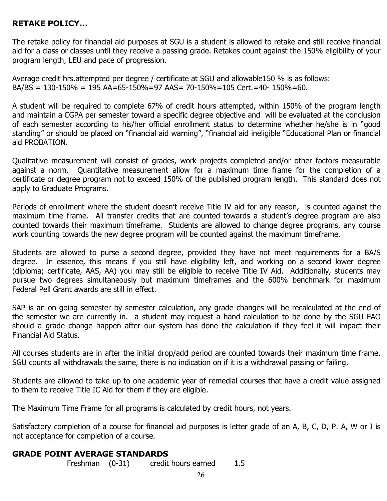## **RETAKE POLICY…**

The retake policy for financial aid purposes at SGU is a student is allowed to retake and still receive financial aid for a class or classes until they receive a passing grade. Retakes count against the 150% eligibility of your program length, LEU and pace of progression.

Average credit hrs.attempted per degree / certificate at SGU and allowable150 % is as follows:  $BA/BS = 130-150\% = 195$   $AA = 65-150\% = 97$   $AAS = 70-150\% = 105$  Cert. = 40- 150% = 60.

A student will be required to complete 67% of credit hours attempted, within 150% of the program length and maintain a CGPA per semester toward a specific degree objective and will be evaluated at the conclusion of each semester according to his/her official enrollment status to determine whether he/she is in "good standing" or should be placed on "financial aid warning", "financial aid ineligible "Educational Plan or financial aid PROBATION.

Qualitative measurement will consist of grades, work projects completed and/or other factors measurable against a norm. Quantitative measurement allow for a maximum time frame for the completion of a certificate or degree program not to exceed 150% of the published program length. This standard does not apply to Graduate Programs.

Periods of enrollment where the student doesn't receive Title IV aid for any reason, is counted against the maximum time frame. All transfer credits that are counted towards a student's degree program are also counted towards their maximum timeframe. Students are allowed to change degree programs, any course work counting towards the new degree program will be counted against the maximum timeframe.

Students are allowed to purse a second degree, provided they have not meet requirements for a BA/S degree. In essence, this means if you still have eligibility left, and working on a second lower degree (diploma; certificate, AAS, AA) you may still be eligible to receive Title IV Aid. Additionally, students may pursue two degrees simultaneously but maximum timeframes and the 600% benchmark for maximum Federal Pell Grant awards are still in effect.

SAP is an on going semester by semester calculation, any grade changes will be recalculated at the end of the semester we are currently in. a student may request a hand calculation to be done by the SGU FAO should a grade change happen after our system has done the calculation if they feel it will impact their Financial Aid Status.

All courses students are in after the initial drop/add period are counted towards their maximum time frame. SGU counts all withdrawals the same, there is no indication on if it is a withdrawal passing or failing.

Students are allowed to take up to one academic year of remedial courses that have a credit value assigned to them to receive Title IC Aid for them if they are eligible.

The Maximum Time Frame for all programs is calculated by credit hours, not years.

Satisfactory completion of a course for financial aid purposes is letter grade of an A, B, C, D, P. A, W or I is not acceptance for completion of a course.

#### **GRADE POINT AVERAGE STANDARDS**

Freshman (0-31) credit hours earned 1.5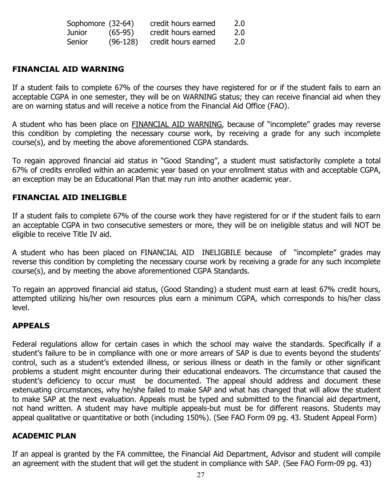| Sophomore (32-64) |            | credit hours earned | 2.0 |
|-------------------|------------|---------------------|-----|
| Junior            | $(65-95)$  | credit hours earned | 2.0 |
| Senior            | $(96-128)$ | credit hours earned | 2.0 |

### **FINANCIAL AID WARNING**

If a student fails to complete 67% of the courses they have registered for or if the student fails to earn an acceptable CGPA in one semester, they will be on WARNING status; they can receive financial aid when they are on warning status and will receive a notice from the Financial Aid Office (FAO).

A student who has been place on **FINANCIAL AID WARNING**, because of "incomplete" grades may reverse this condition by completing the necessary course work, by receiving a grade for any such incomplete course(s), and by meeting the above aforementioned CGPA standards.

To regain approved financial aid status in "Good Standing", a student must satisfactorily complete a total 67% of credits enrolled within an academic year based on your enrollment status with and acceptable CGPA, an exception may be an Educational Plan that may run into another academic year.

#### **FINANCIAL AID INELIGBLE**

If a student fails to complete 67% of the course work they have registered for or if the student fails to earn an acceptable CGPA in two consecutive semesters or more, they will be on ineligible status and will NOT be eligible to receive Title IV aid.

A student who has been placed on FINANCIAL AID INELIGBILE because of "incomplete" grades may reverse this condition by completing the necessary course work by receiving a grade for any such incomplete course(s), and by meeting the above aforementioned CGPA Standards.

To regain an approved financial aid status, (Good Standing) a student must earn at least 67% credit hours, attempted utilizing his/her own resources plus earn a minimum CGPA, which corresponds to his/her class level.

#### **APPEALS**

Federal regulations allow for certain cases in which the school may waive the standards. Specifically if a student's failure to be in compliance with one or more arrears of SAP is due to events beyond the students' control, such as a student's extended illness, or serious illness or death in the family or other significant problems a student might encounter during their educational endeavors. The circumstance that caused the student's deficiency to occur must be documented. The appeal should address and document these extenuating circumstances, why he/she failed to make SAP and what has changed that will allow the student to make SAP at the next evaluation. Appeals must be typed and submitted to the financial aid department, not hand written. A student may have multiple appeals-but must be for different reasons. Students may appeal qualitative or quantitative or both (including 150%). (See FAO Form 09 pg. 43. Student Appeal Form)

#### **ACADEMIC PLAN**

If an appeal is granted by the FA committee, the Financial Aid Department, Advisor and student will compile an agreement with the student that will get the student in compliance with SAP. (See FAO Form-09 pg. 43)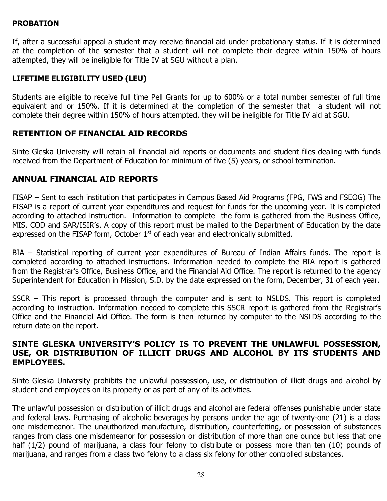#### **PROBATION**

If, after a successful appeal a student may receive financial aid under probationary status. If it is determined at the completion of the semester that a student will not complete their degree within 150% of hours attempted, they will be ineligible for Title IV at SGU without a plan.

### **LIFETIME ELIGIBILITY USED (LEU)**

Students are eligible to receive full time Pell Grants for up to 600% or a total number semester of full time equivalent and or 150%. If it is determined at the completion of the semester that a student will not complete their degree within 150% of hours attempted, they will be ineligible for Title IV aid at SGU.

## **RETENTION OF FINANCIAL AID RECORDS**

Sinte Gleska University will retain all financial aid reports or documents and student files dealing with funds received from the Department of Education for minimum of five (5) years, or school termination.

#### **ANNUAL FINANCIAL AID REPORTS**

FISAP – Sent to each institution that participates in Campus Based Aid Programs (FPG, FWS and FSEOG) The FISAP is a report of current year expenditures and request for funds for the upcoming year. It is completed according to attached instruction. Information to complete the form is gathered from the Business Office, MIS, COD and SAR/ISIR's. A copy of this report must be mailed to the Department of Education by the date expressed on the FISAP form, October  $1<sup>st</sup>$  of each year and electronically submitted.

BIA – Statistical reporting of current year expenditures of Bureau of Indian Affairs funds. The report is completed according to attached instructions. Information needed to complete the BIA report is gathered from the Registrar's Office, Business Office, and the Financial Aid Office. The report is returned to the agency Superintendent for Education in Mission, S.D. by the date expressed on the form, December, 31 of each year.

SSCR – This report is processed through the computer and is sent to NSLDS. This report is completed according to instruction. Information needed to complete this SSCR report is gathered from the Registrar's Office and the Financial Aid Office. The form is then returned by computer to the NSLDS according to the return date on the report.

#### **SINTE GLESKA UNIVERSITY'S POLICY IS TO PREVENT THE UNLAWFUL POSSESSION, USE, OR DISTRIBUTION OF ILLICIT DRUGS AND ALCOHOL BY ITS STUDENTS AND EMPLOYEES.**

Sinte Gleska University prohibits the unlawful possession, use, or distribution of illicit drugs and alcohol by student and employees on its property or as part of any of its activities.

The unlawful possession or distribution of illicit drugs and alcohol are federal offenses punishable under state and federal laws. Purchasing of alcoholic beverages by persons under the age of twenty-one (21) is a class one misdemeanor. The unauthorized manufacture, distribution, counterfeiting, or possession of substances ranges from class one misdemeanor for possession or distribution of more than one ounce but less that one half (1/2) pound of marijuana, a class four felony to distribute or possess more than ten (10) pounds of marijuana, and ranges from a class two felony to a class six felony for other controlled substances.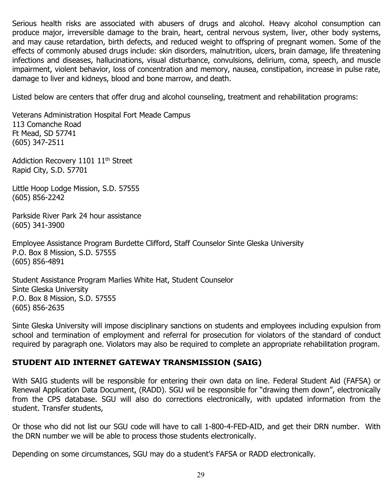Serious health risks are associated with abusers of drugs and alcohol. Heavy alcohol consumption can produce major, irreversible damage to the brain, heart, central nervous system, liver, other body systems, and may cause retardation, birth defects, and reduced weight to offspring of pregnant women. Some of the effects of commonly abused drugs include: skin disorders, malnutrition, ulcers, brain damage, life threatening infections and diseases, hallucinations, visual disturbance, convulsions, delirium, coma, speech, and muscle impairment, violent behavior, loss of concentration and memory, nausea, constipation, increase in pulse rate, damage to liver and kidneys, blood and bone marrow, and death.

Listed below are centers that offer drug and alcohol counseling, treatment and rehabilitation programs:

Veterans Administration Hospital Fort Meade Campus 113 Comanche Road Ft Mead, SD 57741 (605) 347-2511

Addiction Recovery 1101 11<sup>th</sup> Street Rapid City, S.D. 57701

Little Hoop Lodge Mission, S.D. 57555 (605) 856-2242

Parkside River Park 24 hour assistance (605) 341-3900

Employee Assistance Program Burdette Clifford, Staff Counselor Sinte Gleska University P.O. Box 8 Mission, S.D. 57555 (605) 856-4891

Student Assistance Program Marlies White Hat, Student Counselor Sinte Gleska University P.O. Box 8 Mission, S.D. 57555 (605) 856-2635

Sinte Gleska University will impose disciplinary sanctions on students and employees including expulsion from school and termination of employment and referral for prosecution for violators of the standard of conduct required by paragraph one. Violators may also be required to complete an appropriate rehabilitation program.

## **STUDENT AID INTERNET GATEWAY TRANSMISSION (SAIG)**

With SAIG students will be responsible for entering their own data on line. Federal Student Aid (FAFSA) or Renewal Application Data Document, (RADD). SGU wil be responsible for "drawing them down", electronically from the CPS database. SGU will also do corrections electronically, with updated information from the student. Transfer students,

Or those who did not list our SGU code will have to call 1-800-4-FED-AID, and get their DRN number. With the DRN number we will be able to process those students electronically.

Depending on some circumstances, SGU may do a student's FAFSA or RADD electronically.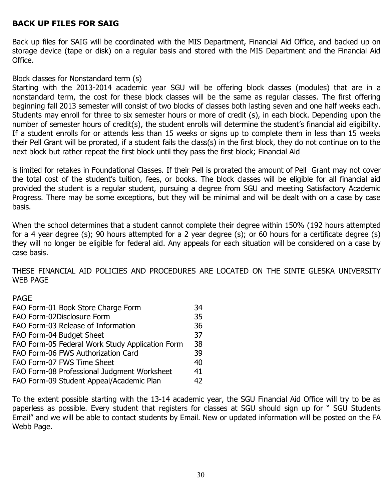## **BACK UP FILES FOR SAIG**

Back up files for SAIG will be coordinated with the MIS Department, Financial Aid Office, and backed up on storage device (tape or disk) on a regular basis and stored with the MIS Department and the Financial Aid Office.

#### Block classes for Nonstandard term (s)

Starting with the 2013-2014 academic year SGU will be offering block classes (modules) that are in a nonstandard term, the cost for these block classes will be the same as regular classes. The first offering beginning fall 2013 semester will consist of two blocks of classes both lasting seven and one half weeks each. Students may enroll for three to six semester hours or more of credit (s), in each block. Depending upon the number of semester hours of credit(s), the student enrolls will determine the student's financial aid eligibility. If a student enrolls for or attends less than 15 weeks or signs up to complete them in less than 15 weeks their Pell Grant will be prorated, if a student fails the class(s) in the first block, they do not continue on to the next block but rather repeat the first block until they pass the first block; Financial Aid

is limited for retakes in Foundational Classes. If their Pell is prorated the amount of Pell Grant may not cover the total cost of the student's tuition, fees, or books. The block classes will be eligible for all financial aid provided the student is a regular student, pursuing a degree from SGU and meeting Satisfactory Academic Progress. There may be some exceptions, but they will be minimal and will be dealt with on a case by case basis.

When the school determines that a student cannot complete their degree within 150% (192 hours attempted for a 4 year degree (s); 90 hours attempted for a 2 year degree (s); or 60 hours for a certificate degree (s) they will no longer be eligible for federal aid. Any appeals for each situation will be considered on a case by case basis.

THESE FINANCIAL AID POLICIES AND PROCEDURES ARE LOCATED ON THE SINTE GLESKA UNIVERSITY WEB PAGE

#### PAGE

| FAO Form-01 Book Store Charge Form              | 34 |
|-------------------------------------------------|----|
| FAO Form-02Disclosure Form                      | 35 |
| FAO Form-03 Release of Information              | 36 |
| FAO Form-04 Budget Sheet                        | 37 |
| FAO Form-05 Federal Work Study Application Form | 38 |
| FAO Form-06 FWS Authorization Card              | 39 |
| FAO Form-07 FWS Time Sheet                      | 40 |
| FAO Form-08 Professional Judgment Worksheet     | 41 |
| FAO Form-09 Student Appeal/Academic Plan        | 42 |

To the extent possible starting with the 13-14 academic year, the SGU Financial Aid Office will try to be as paperless as possible. Every student that registers for classes at SGU should sign up for " SGU Students Email" and we will be able to contact students by Email. New or updated information will be posted on the FA Webb Page.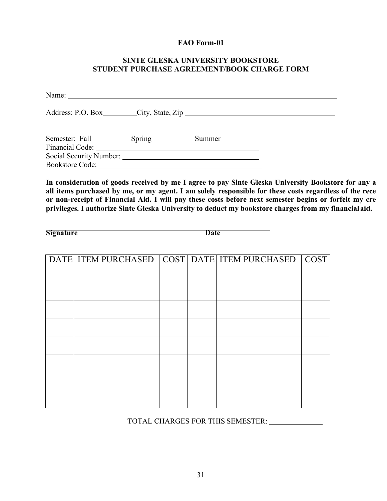#### **FAO Form-01**

#### **SINTE GLESKA UNIVERSITY BOOKSTORE STUDENT PURCHASE AGREEMENT/BOOK CHARGE FORM**

Name: Address: P.O. Box City, State, Zip Semester: Fall Spring Summer Financial Code: 2000 Contract Code: 2000 Contract Code: 2000 Code: 2000 Code: 2000 Code: 2000 Code: 2000 Code: 2000 Code: 2000 Code: 2000 Code: 2000 Code: 2000 Code: 2000 Code: 2000 Code: 2000 Code: 2000 Code: 2000 Code: 2 Social Security Number: Bookstore Code:

**In consideration of goods received by me I agree to pay Sinte Gleska University Bookstore for any a all items purchased by me, or my agent. I am solely responsible for these costs regardless of the rece or non-receipt of Financial Aid. I will pay these costs before next semester begins or forfeit my cre privileges. I authorize Sinte Gleska University to deduct my bookstore charges from my financialaid.**

**Signature Date** 

| DATE ITEM PURCHASED COST DATE ITEM PURCHASED COST |  |  |
|---------------------------------------------------|--|--|
|                                                   |  |  |
|                                                   |  |  |
|                                                   |  |  |
|                                                   |  |  |
|                                                   |  |  |
|                                                   |  |  |
|                                                   |  |  |
|                                                   |  |  |
|                                                   |  |  |
|                                                   |  |  |
|                                                   |  |  |
|                                                   |  |  |
|                                                   |  |  |
|                                                   |  |  |

TOTAL CHARGES FOR THIS SEMESTER: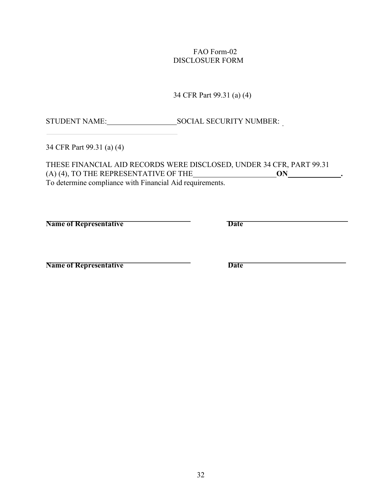#### FAO Form-02 DISCLOSUER FORM

34 CFR Part 99.31 (a) (4)

STUDENT NAME: SOCIAL SECURITY NUMBER:

34 CFR Part 99.31 (a) (4)

THESE FINANCIAL AID RECORDS WERE DISCLOSED, UNDER 34 CFR, PART 99.31  $(A)$  (4), TO THE REPRESENTATIVE OF THE  $\underline{\hspace{1cm}}$  **ON**  $\underline{\hspace{1cm}}$  **.** To determine compliance with Financial Aid requirements.

**Name of Representative Date** 

**Name of Representative Date**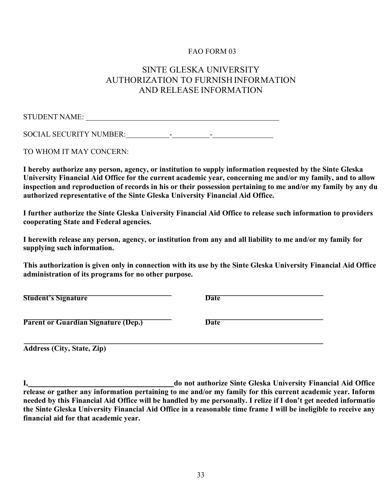#### FAO FORM 03

## SINTE GLESKA UNIVERSITY AUTHORIZATION TO FURNISH INFORMATION AND RELEASE INFORMATION

STUDENT NAME:

SOCIAL SECURITY NUMBER: - -

TO WHOM IT MAY CONCERN:

**I hereby authorize any person, agency, or institution to supply information requested by the Sinte Gleska University Financial Aid Office for the current academic year, concerning me and/or my family, and to allow inspection and reproduction of records in his or their possession pertaining to me and/or my family by any du authorized representative of the Sinte Gleska University Financial Aid Office.**

**I further authorize the Sinte Gleska University Financial Aid Office to release such information to providers cooperating State and Federal agencies.**

**I herewith release any person, agency, or institution from any and all liability to me and/or my family for supplying such information.**

**This authorization is given only in connection with its use by the Sinte Gleska University Financial Aid Office administration of its programs for no other purpose.**

**Student's Signature Date** 

**Parent or Guardian Signature (Dep.) Date** 

**Address (City, State, Zip)**

**I, do not authorize Sinte Gleska University Financial Aid Office release or gather any information pertaining to me and/or my family for this current academic year. Inform needed by this Financial Aid Office will be handled by me personally. I relize if I don't get needed informatio the Sinte Gleska University Financial Aid Office in a reasonable time frame I will be ineligible to receive any financial aid for that academic year.**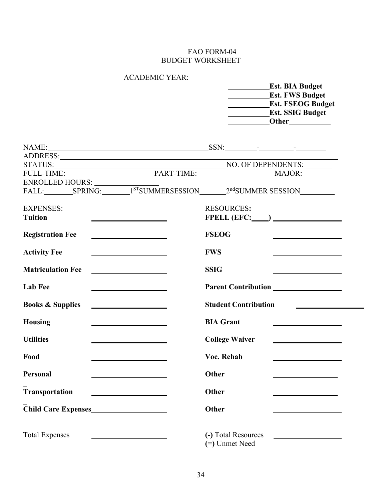#### FAO FORM-04 BUDGET WORKSHEET

|                                                                                    | <b>Est. BIA Budget</b>                                                                                                                                                                                                                              |
|------------------------------------------------------------------------------------|-----------------------------------------------------------------------------------------------------------------------------------------------------------------------------------------------------------------------------------------------------|
|                                                                                    | <b>Est. FWS Budget</b>                                                                                                                                                                                                                              |
|                                                                                    | <b>Est. FSEOG Budget</b>                                                                                                                                                                                                                            |
|                                                                                    | <b>Est. SSIG Budget</b>                                                                                                                                                                                                                             |
|                                                                                    |                                                                                                                                                                                                                                                     |
|                                                                                    |                                                                                                                                                                                                                                                     |
|                                                                                    |                                                                                                                                                                                                                                                     |
|                                                                                    |                                                                                                                                                                                                                                                     |
|                                                                                    |                                                                                                                                                                                                                                                     |
|                                                                                    |                                                                                                                                                                                                                                                     |
|                                                                                    |                                                                                                                                                                                                                                                     |
| <b>EXPENSES:</b>                                                                   | <b>RESOURCES:</b>                                                                                                                                                                                                                                   |
| <b>Tuition</b><br><u> 1989 - Johann Barbara, martin a</u>                          | $FPELL (EFC:$ $\qquad)$ $\qquad$                                                                                                                                                                                                                    |
| <b>Registration Fee</b><br><u> 1989 - Johann Barbara, martin a</u>                 | <b>FSEOG</b>                                                                                                                                                                                                                                        |
| <b>Activity Fee</b><br><u> 1989 - Johann Stoff, Amerikaansk politiker († 1908)</u> | <b>FWS</b>                                                                                                                                                                                                                                          |
| <b>Matriculation Fee</b>                                                           | <b>SSIG</b><br><u>and the contract of the contract of the contract of the contract of the contract of the contract of the contract of the contract of the contract of the contract of the contract of the contract of the contract of the contr</u> |
| <b>Lab Fee</b>                                                                     | Parent Contribution<br><u>Parent Contribution</u>                                                                                                                                                                                                   |
| <b>Books &amp; Supplies</b><br><u> 1989 - Johann Barbara, martin a</u>             | <b>Student Contribution</b>                                                                                                                                                                                                                         |
| <b>Housing</b><br><u> 1989 - Johann Barbara, martxa alemaniar a</u>                | <b>BIA Grant</b><br><u> 2008 - Andrea Andrew Maria (b. 1989)</u>                                                                                                                                                                                    |
| <b>Utilities</b>                                                                   | <b>College Waiver</b>                                                                                                                                                                                                                               |
| Food                                                                               | Voc. Rehab                                                                                                                                                                                                                                          |
| <b>Personal</b>                                                                    | Other                                                                                                                                                                                                                                               |
| <b>Transportation</b>                                                              | Other                                                                                                                                                                                                                                               |
|                                                                                    | <b>Other</b>                                                                                                                                                                                                                                        |
| <b>Total Expenses</b>                                                              | (-) Total Resources<br>(=) Unmet Need                                                                                                                                                                                                               |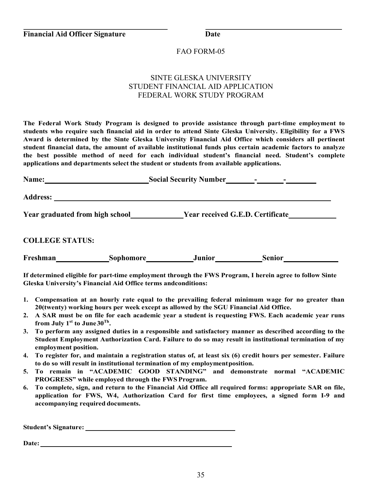#### FAO FORM-05

#### SINTE GLESKA UNIVERSITY STUDENT FINANCIAL AID APPLICATION FEDERAL WORK STUDY PROGRAM

**The Federal Work Study Program is designed to provide assistance through part-time employment to students who require such financial aid in order to attend Sinte Gleska University. Eligibility for a FWS Award is determined by the Sinte Gleska University Financial Aid Office which considers all pertinent student financial data, the amount of available institutional funds plus certain academic factors to analyze the best possible method of need for each individual student's financial need. Student's complete applications and departments select the student or students from available applications.**

| Name:                            |           | <b>Social Security Number</b>           |               |  |
|----------------------------------|-----------|-----------------------------------------|---------------|--|
| <b>Address:</b>                  |           |                                         |               |  |
| Year graduated from high school_ |           | <b>Year received G.E.D. Certificate</b> |               |  |
| <b>COLLEGE STATUS:</b>           |           |                                         |               |  |
| Freshman                         | Sophomore | <b>Junior</b>                           | <b>Senior</b> |  |

**If determined eligible for part-time employment through the FWS Program, I herein agree to follow Sinte Gleska University's Financial Aid Office terms andconditions:**

- **1. Compensation at an hourly rate equal to the prevailing federal minimum wage for no greater than 20(twenty) working hours per week except as allowed by the SGU Financial Aid Office.**
- **2. A SAR must be on file for each academic year a student is requesting FWS. Each academic year runs from July 1st to June30Th.**
- **3. To perform any assigned duties in a responsible and satisfactory manner as described according to the Student Employment Authorization Card. Failure to do so may result in institutional termination of my employment position.**
- **4. To register for, and maintain a registration status of, at least six (6) credit hours per semester. Failure to do so will result in institutional termination of my employmentposition.**
- **5. To remain in "ACADEMIC GOOD STANDING" and demonstrate normal "ACADEMIC PROGRESS" while employed through the FWSProgram.**
- **6. To complete, sign, and return to the Financial Aid Office all required forms: appropriate SAR on file, application for FWS, W4, Authorization Card for first time employees, a signed form I-9 and accompanying required documents.**

**Student's Signature:**

**Date:**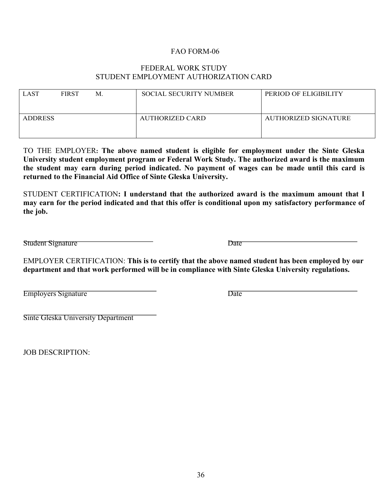#### FAO FORM-06

#### FEDERAL WORK STUDY STUDENT EMPLOYMENT AUTHORIZATION CARD

| <b>LAST</b>    | <b>FIRST</b> | M. | <b>SOCIAL SECURITY NUMBER</b> | PERIOD OF ELIGIBILITY |
|----------------|--------------|----|-------------------------------|-----------------------|
| <b>ADDRESS</b> |              |    | <b>AUTHORIZED CARD</b>        | AUTHORIZED SIGNATURE  |

TO THE EMPLOYER**: The above named student is eligible for employment under the Sinte Gleska University student employment program or Federal Work Study. The authorized award is the maximum the student may earn during period indicated. No payment of wages can be made until this card is returned to the Financial Aid Office of Sinte Gleska University.**

STUDENT CERTIFICATION**: I understand that the authorized award is the maximum amount that I may earn for the period indicated and that this offer is conditional upon my satisfactory performance of the job.**

Student Signature Date

EMPLOYER CERTIFICATION: **This is to certify that the above named student has been employed by our department and that work performed will be in compliance with Sinte Gleska University regulations.**

Employers Signature Date

Sinte Gleska University Department

JOB DESCRIPTION: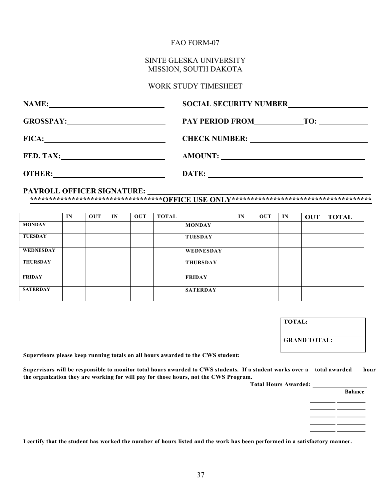#### FAO FORM-07

#### SINTE GLESKA UNIVERSITY MISSION, SOUTH DAKOTA

#### WORK STUDY TIMESHEET

| <b>NAME:</b>     | <b>SOCIAL SECURITY NUMBER</b><br><u> 1980 - Jan Samuel Barbara, politik a politik (</u>                                       |
|------------------|-------------------------------------------------------------------------------------------------------------------------------|
|                  | PAY PERIOD FROM TO:                                                                                                           |
| FICA:            |                                                                                                                               |
| <b>FED. TAX:</b> | AMOUNT:                                                                                                                       |
| <b>OTHER:</b>    | DATE:<br><u>a sa barang sa mga barang sa mga barang sa mga barang sa mga barang sa mga barang sa mga barang sa mga barang</u> |

#### **PAYROLL OFFICER SIGNATURE:**

**\*\*\*\*\*\*\*\*\*\*\*\*\*\*\*\*\*\*\*\*\*\*\*\*\*\*\*\*\*\*\*\*\*\*\*OFFICE USE ONLY\*\*\*\*\*\*\*\*\*\*\*\*\*\*\*\*\*\*\*\*\*\*\*\*\*\*\*\*\*\*\*\*\*\*\*\*\***

|                 | IN | <b>OUT</b> | IN | OUT | <b>TOTAL</b> |                 | IN | OUT | IN | <b>OUT</b> | <b>TOTAL</b> |
|-----------------|----|------------|----|-----|--------------|-----------------|----|-----|----|------------|--------------|
| <b>MONDAY</b>   |    |            |    |     |              | <b>MONDAY</b>   |    |     |    |            |              |
| <b>TUESDAY</b>  |    |            |    |     |              | <b>TUESDAY</b>  |    |     |    |            |              |
| WEDNESDAY       |    |            |    |     |              | WEDNESDAY       |    |     |    |            |              |
| <b>THURSDAY</b> |    |            |    |     |              | <b>THURSDAY</b> |    |     |    |            |              |
| <b>FRIDAY</b>   |    |            |    |     |              | <b>FRIDAY</b>   |    |     |    |            |              |
| <b>SATERDAY</b> |    |            |    |     |              | <b>SATERDAY</b> |    |     |    |            |              |

| <b>GRAND TOTAL:</b> |
|---------------------|

**Supervisors please keep running totals on all hours awarded to the CWS student:**

**Supervisors will be responsible to monitor total hours awarded to CWS students. If a student works over a total awarded hour the organization they are working for will pay for those hours, not the CWS Program.**

| <b>Total Hours Awarded:</b> |                |
|-----------------------------|----------------|
|                             | <b>Balance</b> |
|                             |                |
|                             |                |
|                             |                |
|                             |                |
|                             |                |

**I certify that the student has worked the number of hours listed and the work has been performed in a satisfactory manner.**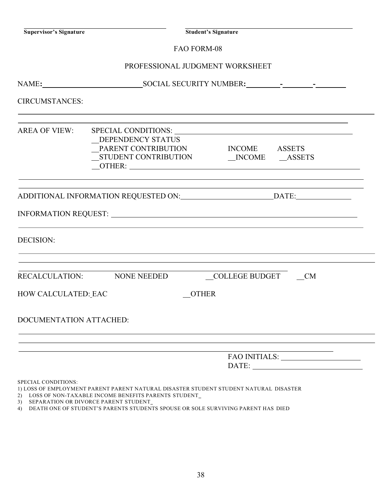**Supervisor's Signature Student's Signature**

#### PROFESSIONAL JUDGMENT WORKSHEET

| <b>CIRCUMSTANCES:</b>   |                                                                                                                                                                                                                               |                                                                                                                                                                                                                                                                                                                                                                                                                                                                                                                                        |  |  |  |
|-------------------------|-------------------------------------------------------------------------------------------------------------------------------------------------------------------------------------------------------------------------------|----------------------------------------------------------------------------------------------------------------------------------------------------------------------------------------------------------------------------------------------------------------------------------------------------------------------------------------------------------------------------------------------------------------------------------------------------------------------------------------------------------------------------------------|--|--|--|
|                         | DEPENDENCY STATUS<br>PARENT CONTRIBUTION INCOME ASSETS<br>$\overline{\text{OTHER:}}$                                                                                                                                          |                                                                                                                                                                                                                                                                                                                                                                                                                                                                                                                                        |  |  |  |
|                         |                                                                                                                                                                                                                               |                                                                                                                                                                                                                                                                                                                                                                                                                                                                                                                                        |  |  |  |
|                         |                                                                                                                                                                                                                               |                                                                                                                                                                                                                                                                                                                                                                                                                                                                                                                                        |  |  |  |
| <b>DECISION:</b>        | <u> 1989 - Johann Stoff, amerikansk politiker (d. 1989)</u>                                                                                                                                                                   |                                                                                                                                                                                                                                                                                                                                                                                                                                                                                                                                        |  |  |  |
|                         | the control of the control of the control of the control of the control of the control of the control of the control of the control of the control of the control of the control of the control of the control of the control |                                                                                                                                                                                                                                                                                                                                                                                                                                                                                                                                        |  |  |  |
| HOW CALCULATED: EAC     | <b>OTHER</b>                                                                                                                                                                                                                  |                                                                                                                                                                                                                                                                                                                                                                                                                                                                                                                                        |  |  |  |
| DOCUMENTATION ATTACHED: | ,我们也不会有什么。""我们的人,我们也不会有什么?""我们的人,我们也不会有什么?""我们的人,我们也不会有什么?""我们的人,我们也不会有什么?""我们的人                                                                                                                                              |                                                                                                                                                                                                                                                                                                                                                                                                                                                                                                                                        |  |  |  |
|                         | ,我们也不会有什么。""我们的人,我们也不会有什么?""我们的人,我们也不会有什么?""我们的人,我们也不会有什么?""我们的人,我们也不会有什么?""我们的人                                                                                                                                              | $\textbf{FAO INITIALS:}\underline{\hspace{2.5cm}}\underline{\hspace{2.5cm}}\underline{\hspace{2.5cm}}\underline{\hspace{2.5cm}}\underline{\hspace{2.5cm}}\underline{\hspace{2.5cm}}\underline{\hspace{2.5cm}}\underline{\hspace{2.5cm}}\underline{\hspace{2.5cm}}\underline{\hspace{2.5cm}}\underline{\hspace{2.5cm}}\underline{\hspace{2.5cm}}\underline{\hspace{2.5cm}}\underline{\hspace{2.5cm}}\underline{\hspace{2.5cm}}\underline{\hspace{2.5cm}}\underline{\hspace{2.5cm}}\underline{\hspace{2.5cm}}\underline{\hspace{2.5cm}}$ |  |  |  |
| SPECIAL CONDITIONS:     | 1) I OSS OF EMBI OVMENT BABENT BABENT NATUBAL DISASTEB STUDENT STUDENT NATUBAL DISASTEB                                                                                                                                       |                                                                                                                                                                                                                                                                                                                                                                                                                                                                                                                                        |  |  |  |

1) LOSS OF EMPLOYMENT PARENT PARENT NATURAL DISASTER STUDENT STUDENT NATURAL DISASTER

2) LOSS OF NON-TAXABLE INCOME BENEFITS PARENTS STUDENT

3) SEPARATION OR DIVORCE PARENT STUDENT

4) DEATH ONE OF STUDENT'S PARENTS STUDENTS SPOUSE OR SOLE SURVIVING PARENT HAS DIED